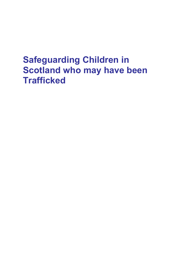# **Safeguarding Children in Scotland who may have been Trafficked**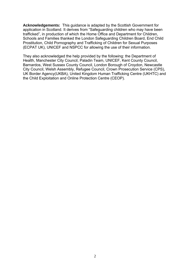**Acknowledgements:** This guidance is adapted by the Scottish Government for application in Scotland. It derives from "Safeguarding children who may have been trafficked", in production of which the Home Office and Department for Children, Schools and Families thanked the London Safeguarding Children Board, End Child Prostitution, Child Pornography and Trafficking of Children for Sexual Purposes (ECPAT UK), UNICEF and NSPCC for allowing the use of their information.

They also acknowledged the help provided by the following: the Department of Health, Manchester City Council, Paladin Team, UNICEF, Kent County Council, Barnardos, West Sussex County Council, London Borough of Croydon, Newcastle City Council, Welsh Assembly, Refugee Council, Crown Prosecution Service (CPS), UK Border Agency(UKBA), United Kingdom Human Trafficking Centre (UKHTC) and the Child Exploitation and Online Protection Centre (CEOP).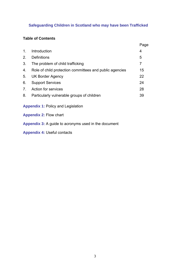## **Safeguarding Children in Scotland who may have been Trafficked**

## **Table of Contents**

|                                                         | Page           |
|---------------------------------------------------------|----------------|
| Introduction                                            | 4              |
| <b>Definitions</b>                                      | 5              |
| The problem of child trafficking                        | $\overline{7}$ |
| Role of child protection committees and public agencies | 15             |
| UK Border Agency                                        | 22             |
| <b>Support Services</b>                                 | 24             |
| Action for services                                     | 28             |
| Particularly vulnerable groups of children              | 39             |
|                                                         |                |

**Appendix 1:** Policy and Legislation

**Appendix 2:** Flow chart

**Appendix 3:** A guide to acronyms used in the document

**Appendix 4:** Useful contacts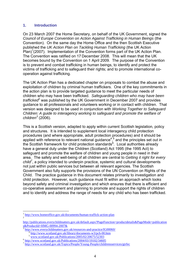### **1. Introduction**

On 23 March 2007 the Home Secretary, on behalf of the UK Government, signed the *Council of Europe Convention on Action Against Trafficking in Human Beings* (the Convention). On the same day the Home Office and the then Scottish Executive published the *UK Action Plan on Tackling Human Trafficking* (the UK Action  $P$ lan)<sup>1</sup>(2007). Implementation of the Convention forms part of the UK Action Plan. The Convention was ratified on 17 December 2008. This will mean that the UK becomes bound by the Convention on 1 April 2009. The purpose of the Convention is to prevent and combat trafficking in human beings, to identify and protect the victims of trafficking and to safeguard their rights; and to promote international cooperation against trafficking.

The UK Action Plan has a dedicated chapter on proposals to combat the abuse and exploitation of children by criminal human traffickers. One of the key commitments in the action plan is to provide targeted guidance to meet the particular needs of children who may have been trafficked. *Safeguarding children who may have been*  trafficked<sup>2</sup> was published by the UK Government in December 2007 and provides guidance to all professionals and volunteers working or in contact with children. That version was designed to be used in conjunction with *Working Together to Safeguard Children: A guide to interagency working to safeguard and promote the welfare of children<sup>3</sup>* (2006).

This is a Scottish version, adapted to apply within current Scottish legislation, policy and structures. It is intended to supplement local interagency child protection procedures (and where appropriate, adult protection procedures) and it should be applied with reference to relevant national guidance<sup>4,5</sup> and the principles set out in the Scottish framework for child protection standards<sup>6</sup>. Local authorities already have a general duty under the Children (Scotland) Act 1995 (the 1995 Act) to safeguard and promote the welfare of children and young people in need in their area. The safety and well-being of all children are central to *Getting it right for every child<sup>7</sup>* , a policy intended to underpin practice, systemic and cultural developments not just within public services but between all relevant agencies. The Scottish Government also fully supports the provisions of the UN Convention on Rights of the Child. The practice guidance in this document relates primarily to investigation and child protection. However, such guidance must fit within an approach which looks beyond safety and criminal investigation and which ensures that there is efficient and co-operative assessment and planning to promote and support the rights of children and to identify and address the range of needs for any child who has been trafficked.

1

<sup>1</sup> <http://www.homeoffice.gov.uk/documents/human-traffick-action-plan> 2

[http://publications.everychildmatters.gov.uk/default.aspx?PageFunction=productdetails&PageMode=publication](http://publications.everychildmatters.gov.uk/default.aspx?PageFunction=productdetails&PageMode=publications&ProductId=HMG-00994-2007&) [s&ProductId=HMG-00994-2007&](http://publications.everychildmatters.gov.uk/default.aspx?PageFunction=productdetails&PageMode=publications&ProductId=HMG-00994-2007&) 3

<http://www.everychildmatters.gov.uk/resources-and-practice/IG00060/> 4 <http://www.scotland.gov.uk/library/documents-w3/pch-00.htm>

[www.scotland.gov.uk/Publications/2005/02/20675/52303](http://www.scotland.gov.uk/Publications/2005/02/20675/52303)

<sup>6</sup> <http://www.scotland.gov.uk/Publications/2004/03/19102/34605>

<sup>&</sup>lt;sup>7</sup> <http://www.scotland.gov.uk/Topics/People/Young-People/childrensservices/girfec>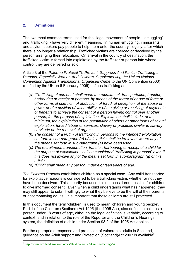## **2. Definitions**

The two most common terms used for the illegal movement of people - "smuggling" and "trafficking" - have very different meanings. In human smuggling, immigrants and asylum seekers pay people to help them enter the country illegally, after which there is no longer a relationship. Trafficked victims are coerced or deceived by the person arranging their relocation. On arrival in the country of destination, the trafficked victim is forced into exploitation by the trafficker or person into whose control they are delivered or sold.

Article 3 of the *Palermo Protocol To Prevent, Suppress And Punish Trafficking In Persons, Especially Women And Children, Supplementing the United Nations Convention Against Transnational Organised Crime* to the UN Convention (2000) (ratified by the UK on 6 February 2006) defines trafficking as:

- *(a) "Trafficking of persons" shall mean the recruitment, transportation, transfer, harbouring or receipt of persons, by means of the threat of or use of force or other forms of coercion, of abduction, of fraud, of deception, of the abuse of power or of a position of vulnerability or of the giving or receiving of payments or benefits to achieve the consent of a person having control over another person, for the purpose of exploitation. Exploitation shall include, at a minimum, the exploitation of the prostitution of others or other forms of sexual exploitation, forced labour or services, slavery or practices similar to slavery, servitude or the removal of organs.*
- *(b) The consent of a victim of trafficking in persons to the intended exploitation set forth in sub-paragraph (a) of this article shall be irrelevant where any of the means set forth in sub-paragraph (a) have been used.*
- *(c) The recruitment, transportation, transfer, harbouring or receipt of a child for the purpose of exploitation shall be considered "trafficking in persons" even if this does not involve any of the means set forth in sub-paragraph (a) of this article*
- *(d) "Child" shall mean any person under eighteen years of age.*

*The Palermo Protocol* establishes children as a special case. Any child transported for exploitative reasons is considered to be a trafficking victim, whether or not they have been deceived. This is partly because it is not considered possible for children to give informed consent. Even when a child understands what has happened, they may still appear to submit willingly to what they believe to be the will of their parents or accompanying adults. It is important that these children are still protected.

In this document the term 'children' is used to mean 'children and young people'. Part 1 of the Children (Scotland) Act 1995 (the 1995 Act), also defines a child as a person under 18 years of age, although the legal definition is variable, according to context, and in relation to the role of the Reporter and the Children"s Hearings system, the definition of a child under Section 93.2 of the 1995 Act applies.

For the appropriate response and protection of vulnerable adults in Scotland, guidance on the Adult support and Protection (Scotland)Act 2007 is available<sup>8</sup>.

<sup>-&</sup>lt;br><sup>8</sup> <http://www.scotland.gov.uk/Topics/Health/care/VAUnit/ProtectingVA>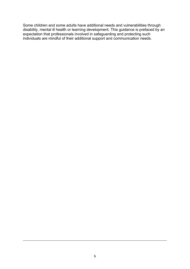Some children and some adults have additional needs and vulnerabilities through disability, mental ill health or learning development. This guidance is prefaced by an expectation that professionals involved in safeguarding and protecting such individuals are mindful of their additional support and communication needs.

<u>.</u>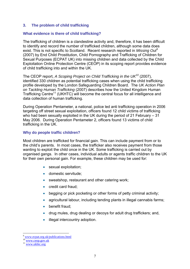#### **3. The problem of child trafficking**

#### **What evidence is there of child trafficking?**

The trafficking of children is a clandestine activity and, therefore, it has been difficult to identify and record the number of trafficked children, although some data does exist. This is not specific to Scotland. Recent research reported in *Missing Out<sup>9</sup>* (2007) by End Child Prostitution, Child Pornography and Trafficking of Children for Sexual Purposes (ECPAT UK) into missing children and data collected by the Child Exploitation Online Protection Centre (CEOP) in its scoping report provides evidence of child trafficking into and within the UK.

The CEOP report, *A Scoping Project on Child Trafficking in the UK<sup>10</sup>* (2007), identified 330 children as potential trafficking cases when using the child trafficking profile developed by the London Safeguarding Children Board. The *UK Action Plan on Tackling Human Trafficking* (2007) describes how the United Kingdom Human Trafficking Centre<sup>11</sup> (UKHTC) will become the central focus for all intelligence and data collection of human trafficking.

During Operation Pentameter, a national, police led anti trafficking operation in 2006 targeting off street sexual exploitation, officers found 12 child victims of trafficking who had been sexually exploited in the UK during the period of 21 February – 31 May 2006. During Operation Pentameter 2, officers found 13 victims of child trafficking in the UK.

#### **Why do people traffic children?**

Most children are trafficked for financial gain. This can include payment from or to the child"s parents. In most cases, the trafficker also receives payment from those wanting to exploit the child once in the UK. Some trafficking is carried out by organised gangs. In other cases, individual adults or agents traffic children to the UK for their own personal gain. For example, these children may be used for:

- sexual exploitation;
- **•** domestic servitude:
- sweatshop, restaurant and other catering work;
- credit card fraud;
- begging or pick pocketing or other forms of petty criminal activity;
- agricultural labour, including tending plants in illegal cannabis farms;
- benefit fraud;
- drug mules, drug dealing or decoys for adult drug traffickers; and,
- illegal intercountry adoption.

1

<sup>9</sup> [www.ecpat.org.uk/publications.html](http://www.ecpat.org.uk/publications.html) 

<sup>&</sup>lt;sup>10</sup> [www.ceop.gov.uk](http://www.ceop.gov.uk/)

<sup>&</sup>lt;sup>11</sup> [www.ukhtc.org](http://www.ukhtc.org/)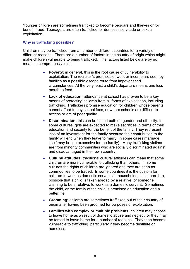Younger children are sometimes trafficked to become beggars and thieves or for benefit fraud. Teenagers are often trafficked for domestic servitude or sexual exploitation.

#### **Why is trafficking possible?**

Children may be trafficked from a number of different countries for a variety of different reasons. There are a number of factors in the country of origin which might make children vulnerable to being trafficked. The factors listed below are by no means a comprehensive list.

- **Poverty:** in general, this is the root cause of vulnerability to exploitation. The recruiter"s promises of work or income are seen by families as a possible escape route from impoverished circumstances. At the very least a child"s departure means one less mouth to feed.
- **Lack of education:** attendance at school has proven to be a key means of protecting children from all forms of exploitation, including trafficking. Traffickers promise education for children whose parents cannot afford to pay school fees, or where schools are difficult to access or are of poor quality.
- **Discrimination:** this can be based both on gender and ethnicity. In some cultures, girls are expected to make sacrifices in terms of their education and security for the benefit of the family. They represent less of an investment for the family because their contribution to the family will end when they leave to marry (in some cases marriage itself may be too expensive for the family). Many trafficking victims are from minority communities who are socially discriminated against and disadvantaged in their own country.
- **Cultural attitudes:** traditional cultural attitudes can mean that some children are more vulnerable to trafficking than others. In some cultures the rights of children are ignored and they are seen as commodities to be traded. In some countries it is the custom for children to work as domestic servants in households. It is, therefore, possible that a child is taken abroad by a relative, or someone claiming to be a relative, to work as a domestic servant. Sometimes the child, or the family of the child is promised an education and a better life.
- **Grooming:** children are sometimes trafficked out of their country of origin after having been groomed for purposes of exploitation.
- **Families with complex or multiple problems:** children may choose to leave home as a result of domestic abuse and neglect, or they may be forced to leave home for a number of reasons. They then become vulnerable to trafficking, particularly if they become destitute or homeless.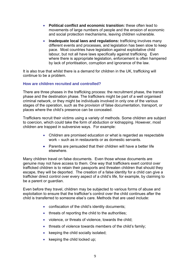- **Political conflict and economic transition:** these often lead to movements of large numbers of people and the erosion of economic and social protection mechanisms, leaving children vulnerable.
- **Inadequate local laws and regulations:** trafficking involves many different events and processes, and legislation has been slow to keep pace. Most countries have legislation against exploitative child labour, but not all have laws specifically against trafficking. Even where there is appropriate legislation, enforcement is often hampered by lack of prioritisation, corruption and ignorance of the law.

It is also true that whilst there is a demand for children in the UK, trafficking will continue to be a problem.

#### **How are children recruited and controlled?**

There are three phases in the trafficking process: the recruitment phase, the transit phase and the destination phase. The traffickers might be part of a well organised criminal network, or they might be individuals involved in only one of the various stages of the operation, such as the provision of false documentation, transport, or places where the child"s presence can be concealed.

Traffickers recruit their victims using a variety of methods. Some children are subject to coercion, which could take the form of abduction or kidnapping. However, most children are trapped in subversive ways. For example:

- Children are promised education or what is regarded as respectable work – such as in restaurants or as domestic servants.
- Parents are persuaded that their children will have a better life elsewhere.

Many children travel on false documents. Even those whose documents are genuine may not have access to them. One way that traffickers exert control over trafficked children is to retain their passports and threaten children that should they escape, they will be deported. The creation of a false identity for a child can give a trafficker direct control over every aspect of a child"s life, for example, by claiming to be a parent or guardian.

Even before they travel, children may be subjected to various forms of abuse and exploitation to ensure that the trafficker"s control over the child continues after the child is transferred to someone else"s care. Methods that are used include:

- confiscation of the child"s identity documents;
- threats of reporting the child to the authorities:
- violence, or threats of violence, towards the child;
- threats of violence towards members of the child's family;
- $\bullet$  keeping the child socially isolated;
- $\bullet$  keeping the child locked up: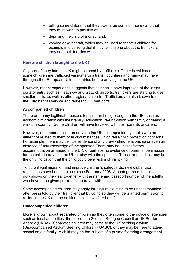- telling some children that they owe large sums of money and that they must work to pay this off;
- depriving the child of money; and,
- voodoo or witchcraft, which may be used to frighten children for example into thinking that if they tell anyone about the traffickers, they and their families will die.

#### **How are children brought to the UK?**

Any port of entry into the UK might be used by traffickers. There is evidence that some children are trafficked via numerous transit countries and many may travel through other European Union countries before arriving in the UK.

However, recent experience suggests that as checks have improved at the larger ports of entry such as Heathrow and Gatwick airports, traffickers are starting to use smaller ports, as well as other regional airports. Traffickers are also known to use the Eurostar rail service and ferries to UK sea ports.

#### **Accompanied children**

There are many legitimate reasons for children being brought to the UK, such as economic migration with their family, education, re-unification with family or fleeing a war-torn country. Some children will have travelled with their parents or carers.

However, a number of children arrive in the UK accompanied by adults who are either not related to them or in circumstances which raise child protection concerns. For example, there may be little evidence of any pre-existing relationship or even an absence of any knowledge of the sponsor. There may be unsatisfactory accommodation arranged in the UK, or perhaps no evidence of parental permission for the child to travel to the UK or stay with the sponsor. These irregularities may be the only indication that the child could be a victim of trafficking.

To curb illegal migration and improve children's safeguards, new global visa regulations have been in place since February 2006. A photograph of the child is now shown on the visa, together with the name and passport number of the adult/s who have been given permission to travel with the child.

Some accompanied children may apply for asylum claiming to be unaccompanied, after being told by their trafficker that by doing so they will be granted permission to reside in the UK and be entitled to claim welfare benefits.

#### **Unaccompanied children**

More is known about separated children as they often come to the notice of agencies such as local authorities, the police, the Scottish Refugee Council or UK Border Agency (UKBA). Separated children may come to the UK seeking asylum (Unaccompanied Asylum Seeking Children - UASC), or they may be here to attend school or join family. A child may be the subject of a private fostering arrangement.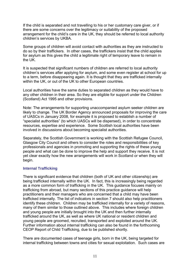If the child is separated and not travelling to his or her customary care giver, or if there are some concerns over the legitimacy or suitability of the proposed arrangement for the child"s care in the UK, they should be referred to local authority children"s services by UKBA.

Some groups of children will avoid contact with authorities as they are instructed to do so by their traffickers. In other cases, the traffickers insist that the child applies for asylum as this gives the child a legitimate right of temporary leave to remain in the UK.

It is suspected that significant numbers of children are referred to local authority children"s services after applying for asylum, and some even register at school for up to a term, before disappearing again. It is thought that they are trafficked internally within the UK, or out of the UK to other European countries.

Local authorities have the same duties to separated children as they would have to any other children in their area. So they are eligible for support under the Children (Scotland) Act 1995 and other provisions.

Note: The arrangements for supporting unaccompanied asylum seeker children are likely to change. The UK Border Agency announced proposals for improving the care of UASCs in January 2008, for example it is proposed to establish a number of "specialist authorities" (to which UASCs will be dispersed), in order to concentrate resources, expertise and experience. Some Scottish local authorities have been involved in discussions about becoming specialist authorities.

Separately, the Scottish Government is working with the Scottish Refugee Council, Glasgow City Council and others to consider the roles and responsibilities of key professionals and agencies in promoting and supporting the rights of these young people and what can be done to improve the help and support they receive. It is not yet clear exactly how the new arrangements will work in Scotland or when they will begin.

#### **Internal Trafficking**

There is significant evidence that children (both of UK and other citizenship) are being trafficked internally within the UK. In fact, this is increasingly being regarded as a more common form of trafficking in the UK. This guidance focuses mainly on trafficking from abroad, but many sections of this practice guidance will help practitioners and their managers who are concerned that a child may have been trafficked internally. The list of indicators in section 7 should also help practitioners identify these children. Children may be trafficked internally for a variety of reasons, many of them similar to those outlined above. This includes where foreign children and young people are initially brought into the UK and then further internally trafficked around the UK, as well as where UK national or resident children and young people are groomed, recruited, transported and exploited around the UK. Further information about internal trafficking can also be found in the forthcoming CEOP Report of Child Trafficking, due to be published shortly.

There are documented cases of teenage girls, born in the UK, being targeted for internal trafficking between towns and cities for sexual exploitation. Such cases are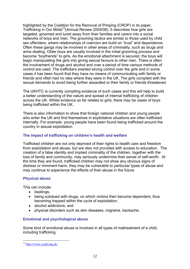highlighted by the Coalition for the Removal of Pimping (CROP) in its paper, Trafficking in Our Midst<sup>12</sup>(Annual Review 2005/06). It describes how girls are targeted, groomed and lured away from their families and carers into a social networks of boys and men. The grooming tactics are similar to those used by child sex offenders, where relationships of coercion are build on "trust" and dependence. Often these gangs may be involved in other areas of criminality, such as drugs and arms dealing. Older boys are usually involved in the initial grooming process and become "boyfriends" to girls. As the emotional attachment is secured, the boys will begin manipulating the girls into giving sexual favours to other men. There is often the involvement of drugs and alcohol and over a period of time various methods of control are used. The traffickers exerted strong control over the girls and in some cases it has been found that they have no means of communicating with family or friends and often had no idea where they were in the UK. The girls complied with the sexual demands to avoid being further assaulted or their family or friends threatened.

The UKHTC is currently compiling evidence of such cases and this will help to build a better understanding of the nature and spread of internal trafficking of children across the UK. Whilst evidence so far relates to girls, there may be cases of boys being trafficked within the UK.

There is also information to show that foreign national children and young people who enter the UK and find themselves in exploitative situations are often trafficked internally. For example, young people have been found being trafficked around the country in sexual exploitation.

## **The impact of trafficking on children's health and welfare**

Trafficked children are not only deprived of their rights to health care and freedom from exploitation and abuse, but are also not provided with access to education. The creation of a false identity and implied criminality of the children, together with the loss of family and community, may seriously undermine their sense of self-worth. At the time they are found, trafficked children may not show any obvious signs of distress or imminent harm, they may be vulnerable to particular types of abuse and may continue to experience the effects of their abuse in the future.

#### **Physical abuse**

This can include:

- beatings:
- being subdued with drugs, on which victims then become dependent, thus becoming trapped within the cycle of exploitation;
- alcohol addictions; and
- physical disorders such as skin diseases, migraine, backache.

## **Emotional and psychological abuse**

Some kind of emotional abuse is involved in all types of maltreatment of a child, including trafficking.

<u>.</u>

<sup>&</sup>lt;sup>12</sup> http://www.cropl.org.uk/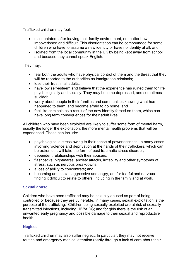Trafficked children may feel:

- disorientated, after leaving their family environment, no matter how impoverished and difficult. This disorientation can be compounded for some children who have to assume a new identity or have no identity at all; and
- isolated from the local community in the UK by being kept away from school and because they cannot speak English.

## They may:

- fear both the adults who have physical control of them and the threat that they will be reported to the authorities as immigration criminals;
- lose their trust in all adults;
- have low self-esteem and believe that the experience has ruined them for life psychologically and socially. They may become depressed, and sometimes suicidal;
- worry about people in their families and communities knowing what has happened to them, and become afraid to go home; and
- feel like criminals as a result of the new identity forced on them, which can have long term consequences for their adult lives.

All children who have been exploited are likely to suffer some form of mental harm, usually the longer the exploitation, the more mental health problems that will be experienced. These can include:

- psychological distress owing to their sense of powerlessness. In many cases involving violence and deprivation at the hands of their traffickers, which can be extreme, it will take the form of post traumatic stress disorder;
- dependent relationships with their abusers;
- flashbacks, nightmares, anxiety attacks, irritability and other symptoms of stress, such as nervous breakdowns;
- a loss of ability to concentrate; and
- becoming anti-social, aggressive and angry, and/or fearful and nervous finding it difficult to relate to others, including in the family and at work.

## **Sexual abuse**

Children who have been trafficked may be sexually abused as part of being controlled or because they are vulnerable. In many cases, sexual exploitation is the purpose of the trafficking. Children being sexually exploited are at risk of sexually transmitted infections, including HIV/AIDS; and for girls there is the risk of an unwanted early pregnancy and possible damage to their sexual and reproductive health.

## **Neglect**

Trafficked children may also suffer neglect. In particular, they may not receive routine and emergency medical attention (partly through a lack of care about their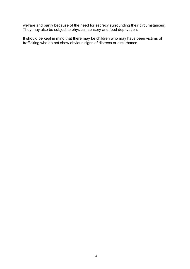welfare and partly because of the need for secrecy surrounding their circumstances). They may also be subject to physical, sensory and food deprivation.

It should be kept in mind that there may be children who may have been victims of trafficking who do not show obvious signs of distress or disturbance.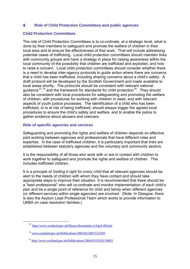#### **4. Role of Child Protection Committees and public agencies**

#### **Child Protection Committees**

The role of Child Protection Committees is to co-ordinate, at a strategic level, what is done by their members to safeguard and promote the welfare of children in their local area and to ensure the effectiveness of that work. That will include addressing potential cases of trafficking. Local child protection committees should maintain links with community groups and have a strategy in place for raising awareness within the local community of the possibility that children are trafficked and exploited, and how to raise a concern.Local child protection committees should consider whether there is a need to develop inter-agency protocols to guide action where there are concerns that a child has been trafficked, including sharing concerns about a child"s safety. A draft protocol will be developed by the Scottish Government and made available to local areas shortly. The protocols should be consistent with relevant national guidance<sup>13</sup>,<sup>14</sup> and the framework for standards for child protection<sup>15</sup>. They should also be consistent with local procedures for safeguarding and promoting the welfare of children, with procedures for working with children in need, and with relevant aspects of youth justice processes. The identification of a child who has been trafficked, or is at risk of being trafficked, should always trigger the agreed local procedures to ensure the child"s safety and welfare, and to enable the police to gather evidence about abusers and coercers.

#### **Role of specific agencies and services**

Safeguarding and promoting the rights and welfare of children depends on effective joint working between agencies and professionals that have different roles and expertise. In the case of trafficked children, it is particularly important that links are established between statutory agencies and the voluntary and community sectors.

It is the responsibility of all those who work with or are in contact with children to work together to safeguard and promote the rights and welfare of children. This includes trafficked children.

It is a principle of *Getting it right for every child* that all relevant agencies should be alert to the needs of children with whom they have contact and should take appropriate steps to improve their situation. It is recommended that there should be a "lead professional" who will co-ordinate and monitor implementation of each child"s plan and be a single point of reference for child and family when different agencies (or different services within single agencies) are involved. (Note: In Glasgow, there is also the Asylum Lead Professional Team which works to provide information to UKBA on case resolution families.)

1

<sup>13</sup> <http://www.scotland.gov.uk/library/documents-w3/pch-00.htm>

<sup>14</sup> [www.scotland.gov.uk/Publications/2005/02/20675/52303](http://www.scotland.gov.uk/Publications/2005/02/20675/52303)

<sup>15</sup> <http://www.scotland.gov.uk/Publications/2004/03/19102/34603>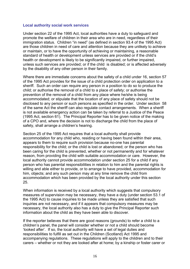#### **Local authority social work services**

Under section 22 of the 1995 Act, local authorities have a duty to safeguard and promote the welfare of children in their area who are in need, regardless of their immigration status. Children "in need" (as defined in section 93.4 of the 1995 Act) are those children in need of care and attention because they are unlikely to achieve or maintain, or to have the opportunity of achieving or maintaining, a reasonable standard of health or development unless services are provided or if the child"s health or development is likely to be significantly impaired, or further impaired, unless such services are provided; or if the child is disabled; or is affected adversely by the disability of any other person in their family.

Where there are immediate concerns about the safety of a child under 16, section 57 of the 1995 Act provides for the issue of a child protection order on application to a sheriff. Such an order can require any person in a position to do so to produce the child; or authorise the removal of a child to a place of safety; or authorise the prevention of the removal of a child from any place where he/she is being accommodated; or stipulate that the location of any place of safety should not be disclosed to any person or such persons as specified in the order. Under section 58 of the same Act the sheriff can also regulate contact arrangements. When a sheriff is not available emergency action can be taken by referral to a Justice of the Peace (1995 Act, section 61). The Principal Reporter has to be given notice of the making of a CPO and, where the decision is not to discharge the child from the place of safety, shall arrange a children's hearing.

Section 25 of the 1995 Act requires that a local authority shall provide accommodation for any child who, residing or having been found within their area, appears to them to require such provision because no-one has parental responsibility for the child; or the child is lost or abandoned; or the person who has been caring for the child is prevented, whether or not permanently and for whatever reason, from providing the child with suitable accommodation or care. However, the local authority cannot provide accommodation under section 25 for a child if any person who has parental responsibilities in relation to him and the parental rights is willing and able either to provide, or to arrange to have provided, accommodation for him, objects; and any such person may at any time remove the child from accommodation which has been provided by the local authority under this section 25.

When information is received by a local authority which suggests that compulsory measures of supervision may be necessary, they have a duty (under section 53.1 of the 1995 Act) to cause inquiries to be made unless they are satisfied that such inquiries are not necessary, and if it appears that compulsory measures may be necessary, the local authority also has a duty to give the Principal Reporter such information about the child as they have been able to discover.

If the reporter believes that there are good reasons (grounds) to refer a child to a children"s panel, the panel will consider whether or not a child should become "looked after". If so, the local authority will have a set of legal duties and responsibilities to fulfill as set out in the Children (Scotland) Act 1995 and accompanying regulations. These regulations will apply to the children and to their carers – whether or not they are looked after at home; by a kinship or foster carer or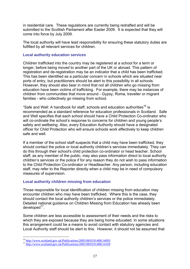in residential care. These regulations are currently being redrafted and will be submitted to the Scottish Parliament after Easter 2009. It is expected that they will come into force by July 2009.

The local authority will have lead responsibility for ensuring these statutory duties are fulfilled by all relevant services for children.

#### **Local authority education services**

Children trafficked into the country may be registered at a school for a term or longer, before being moved to another part of the UK or abroad. This pattern of registration and de-registration may be an indicator that a child has been trafficked. This has been identified as a particular concern in schools which are situated near ports of entry, but practitioners should be alert to this possibility in all schools. However, they should also bear in mind that not all children who go missing from education have been victims of trafficking. For example, there may be instances of children from communities that move around - Gypsy, Roma, traveller or migrant families - who collectively go missing from school.

"Safe and Well: A handbook for staff, schools and education authorities<sup>16</sup> is recommended as a standard reference for education professionals in Scotland. Safe and Well specifies that each school should have a Child Protection Co-ordinator who will co-ordinate the school's response to concerns for children and young people's safety and wellbeing. Also, every Education Authority should have a designated officer for Child Protection who will ensure schools work effectively to keep children safe and well.

If a member of the school staff suspects that a child may have been trafficked, they should contact the police or local authority children's services immediately. They can do this through their school's child protection co-ordinator or head teacher. School staff, as any member of the public, may also pass information direct to local authority children"s services or the police if for any reason they do not wish to pass information to the Child Protection Co-ordinator or Headteacher. Any person, including education staff, may refer to the Reporter directly when a child may be in need of compulsory measures of supervision.

#### **Local authority children missing from education**

Those responsible for local identification of children missing from education may encounter children who may have been trafficked. Where this is the case, they should contact the local authority children's services or the police immediately. Detailed national guidance on Children Missing from Education has already been developed<sup>17</sup>.

Some children are less accessible to assessment of their needs and the risks to which they are exposed because they are being home educated. In some situations this arrangement could be a means to avoid contact with statutory agencies and Local Authority staff should be alert to this. However, it should not be assumed that

1

<sup>16</sup> <http://www.scotland.gov.uk/Publications/2005/08/0191408/14093>

<sup>17</sup> <http://www.scotland.gov.uk/Publications/2005/08/0191408/14169>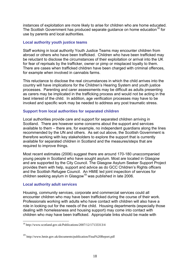instances of exploitation are more likely to arise for children who are home educated. The Scottish Government has produced separate guidance on home education<sup>18</sup> for use by parents and local authorities.

#### **Local authority youth justice teams**

Staff working in local authority Youth Justice Teams may encounter children from abroad or others who have been trafficked. Children who have been trafficked may be reluctant to disclose the circumstances of their exploitation or arrival into the UK for fear of reprisals by the trafficker, owner or pimp or misplaced loyalty to them. There are cases when trafficked children have been charged with criminal offences, for example when involved in cannabis farms.

This reluctance to disclose the real circumstances in which the child arrives into the country will have implications for the Children"s Hearing System and youth justice processes. Parenting and carer assessments may be difficult as adults presenting as carers may be implicated in the trafficking process and would not be acting in the best interest of the child. In addition, age verification processes may have to be invoked and specific work may be needed to address any post traumatic stress.

#### **Support from local authorities for separated children**

Local authorities provide care and support for separated children arriving in Scotland. There are however some concerns about the support and services available to them – there are, for example, no independent guardians along the lines recommended by the UN and others. As set out above, the Scottish Government is therefore working with key stakeholders to explore the support that is currently available for separated children in Scotland and the measures/steps that are required to improve things.

Most recent estimates (2006) suggest there are around 170-180 unaccompanied young people in Scotland who have sought asylum. Most are located in Glasgow and are supported by the City Council. The Glasgow Asylum Seeker Support Project provides them with help, support and advice as do GCC Children"s Rights officers and the Scottish Refugee Council. An HMIE led joint inspection of services for children seeking asylum in Glasgow<sup>19</sup> was published in late 2006.

#### **Local authority adult services**

<u>.</u>

Housing, community services, corporate and commercial services could all encounter children who may have been trafficked during the course of their work. Professionals working with adults who have contact with children will also have a role in looking out for the needs of the child. Housing departments (especially those dealing with homelessness and housing support) may come into contact with children who may have been trafficked. Appropriate links should be made with

<sup>18</sup> http://www.scotland.gov.uk/Publications/2007/12/17133313/4

<sup>19</sup> http://www.hmie.gov.uk/documents/publication/Final%20Report.pdf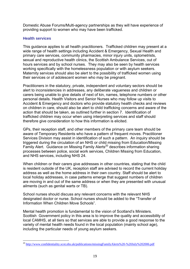Domestic Abuse Forums/Multi-agency partnerships as they will have experience of providing support to women who may have been trafficked.

### **Health services**

<u>.</u>

This guidance applies to all health practitioners. Trafficked children may present at a wide range of health settings including Accident & Emergency, Sexual Health and primary care services, community pharmacies, minor injury units, optometrists, sexual and reproductive health clinics, the Scottish Ambulance Services, out of hours services and by school nurses. They may also be seen by health services working specifically with the homelessness population or with asylum seekers. Maternity services should also be alert to the possibility of trafficked women using their services or of adolescent women who may be pregnant.

Practitioners in the statutory, private, independent and voluntary sectors should be alert to inconsistencies in addresses, any deliberate vagueness and children or carers being unable to give details of next of kin, names, telephone numbers or other personal details. Health Visitors and Senior Nurses who may follow up visits to Accident & Emergency and doctors who provide statutory health checks and reviews on children in care, should also be alert to child trafficking concerns and aware of the action that should be taken, as outlined further in section 7. Identification of trafficked children may occur when using interpreting services and staff should therefore give consideration to how this information is elicited.

GPs, their reception staff, and other members of the primary care team should be aware of Temporary Residents who have a pattern of frequent moves. Practitioner Services Division may assist in identification of such a pattern. An inquiry should be triggered during the circulation of an NHS or child missing from Education/Missing Family Alert. Guidance on Missing Family Alerts<sup>20</sup> describes information sharing processes between police, social work services, Children Missing from Education, and NHS services, including NHS 24.

When children or their carers give addresses in other countries, stating that the child is resident outside of the UK, reception staff are advised to record the current holiday address as well as the home address in their own country. Staff should be alert to local holiday addresses, in case patterns emerge that suggest numbers of children are moving in and out of the same address or when they are presented with unusual ailments (such as genital warts or TB).

School nurses should discuss any relevant concerns with the relevant NHS designated doctor or nurse. School nurses should be added to the "Transfer of Information When Children Move Schools".

Mental health promotion is fundamental to the vision of Scotland"s Ministers. Scottish Government policy in this area is to improve the quality and accessibility of local CAMHS, at all tiers so that services are able to provide a good response to the variety of mental health needs found in the local population (mainly school age), including the particular needs of young asylum seekers.

<sup>&</sup>lt;sup>20</sup> <http://www.confidentiality.scot.nhs.uk/publications/missingFamilyAlerts%20-%20July%202006.pdf>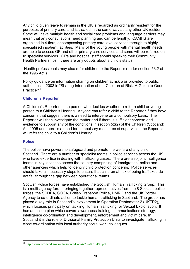Any child given leave to remain in the UK is regarded as ordinarily resident for the purposes of primary care, and is treated in the same way as any other UK resident. Some will have multiple health and social care problems and language barriers may mean that any consultations need planning and can be lengthy. CAMHS are organised in 4 tiers, encompassing primary care level services through to highly specialised inpatient facilities. Many of the young people with mental health needs are able to access GP and other primary care services and some will be referred on to specialist services. GPs and hospital staff should speak to their Community Health Partnerships if there are any doubts about a child's status.

 Health professionals may also refer children to the Reporter (under section 53.2 of the 1995 Act.)

Policy guidance on information sharing on children at risk was provided to public authorities in 2003 in "Sharing Information about Children at Risk: A Guide to Good Practice"<sup>21</sup>

#### **Children's Reporter**

A Children"s Reporter is the person who decides whether to refer a child or young person to a Children"s Hearing. Anyone can refer a child to the Reporter if they have concerns that suggest there is a need to intervene on a compulsory basis. The Reporter will then investigate the matter and if there is sufficient concern and evidence to support any of the conditions in section 52(2) of the Children (Scotland) Act 1995 and there is a need for compulsory measures of supervision the Reporter will refer the child to a Children's Hearing.

#### **Police**

<u>.</u>

The police have powers to safeguard and promote the welfare of any child in Scotland. There are a number of specialist teams in police services across the UK who have expertise in dealing with trafficking cases. There are also joint intelligence teams in key locations across the country comprising of immigration, police and other agencies which help to identify child protection concerns. Police services should take all necessary steps to ensure that children at risk of being trafficked do not fall through the gap between operational teams.

Scottish Police forces have established the Scottish Human Trafficking Group. This is a multi-agency forum, bringing together representatives from the 8 Scottish police forces, the SCDEA, SOCA, British Transport Police, HMRC and the UK Border Agency to co-ordinate action to tackle human trafficking in Scotland. The group has played a key role in Scotland"s involvement in Operation Pentameter 2 (UKTP2), which focuses principally on tackling Human Trafficking for Sexual Exploitation. It has an action plan which covers awareness training, communications strategy, intelligence co-ordination and development, enforcement and victim care. In Scotland it is the role of Divisional Family Protection Units to investigate trafficking in close co-ordination with local authority social work colleagues.

<sup>&</sup>lt;sup>21</sup> <http://www.scotland.gov.uk/Resource/Doc/47237/0013498.pdf>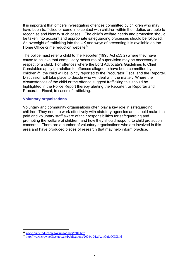It is important that officers investigating offences committed by children who may have been trafficked or come into contact with children within their duties are able to recognise and identify such cases. The child"s welfare needs and protection should be taken into account and appropriate safeguarding processes should be followed. An oversight of trafficking into the UK and ways of preventing it is available on the Home Office crime reduction website<sup>22</sup>.

The police must refer a child to the Reporter (1995 Act s53.2) where they have cause to believe that compulsory measures of supervision may be necessary in respect of a child. For offences where the Lord Advocate's Guidelines to Chief Constables apply (in relation to offences alleged to have been committed by children)<sup>23</sup>, the child will be jointly reported to the Procurator Fiscal and the Reporter. Discussion will take place to decide who will deal with the matter. Where the circumstances of the child or the offence suggest trafficking this should be highlighted in the Police Report thereby alerting the Reporter, or Reporter and Procurator Fiscal, to cases of trafficking.

#### **Voluntary organisations**

Voluntary and community organisations often play a key role in safeguarding children. They need to work effectively with statutory agencies and should make their paid and voluntary staff aware of their responsibilities for safeguarding and promoting the welfare of children, and how they should respond to child protection concerns. There are a number of voluntary organisations who are involved in this area and have produced pieces of research that may help inform practice.

1

<sup>&</sup>lt;sup>22</sup> www.crimereduction.gov.uk/toolkits/tp01.htm

<sup>23</sup> <http://www.crownoffice.gov.uk/Publications/2004/10/LdAdvGuidOffChild>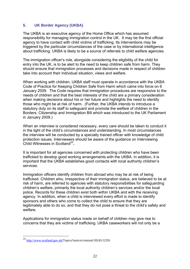## **5. UK Border Agency (UKBA)**

The UKBA is an executive agency of the Home Office which has assumed responsibility for managing immigration control in the UK. It may be the first official agency to have contact with child victims of trafficking. Its interventions may be triggered by the particular circumstances of the case or by international intelligence about trafficking. UKBA is likely to be a source of referrals to child welfare agencies.

The immigration officer"s role, alongside considering the eligibility of the child for entry into the UK, is to be alert to the need to keep children safe from harm. They should ensure that immigration processes and decisions made in respect of children take into account their individual situation, views and welfare.

When working with children, UKBA staff must operate in accordance with the UKBA Code of Practice for Keeping Children Safe from Harm which came into force on 6 January 2009. The Code requires that immigration procedures are responsive to the needs of children and that the best interests of the child are a primary consideration when making decisions about his or her future and highlights the need to identify those who might be at risk of harm. (Further, the UKBA intends to introduce a statutory duty on its staff to safeguard and promote the welfare of children in the Borders, Citizenship and Immigration Bill which was introduced to the UK Parliament in January 2009.)

When an interview is considered necessary, every care should be taken to conduct it in the light of the child"s circumstances and understanding. In most circumstances the interview will be conducted by a specially trained officer with knowledge of child protection issues. Interviewers should be aware of the guidance on Interviewing Child Witnesses in Scotland<sup>24</sup>.

It is important for all agencies concerned with protecting children who have been trafficked to develop good working arrangements with the UKBA. In addition, it is important that the UKBA establishes good contacts with local authority children's services.

Immigration officers identify children from abroad who may be at risk of being trafficked. Children who, irrespective of their immigration status, are believed to be at risk of harm, are referred to agencies with statutory responsibilities for safeguarding children"s welfare, primarily the local authority children"s services and/or the local police. Records for these children exist both within UKBA and with the receiving agency. In addition, when a child is interviewed every effort is made to identify sponsors and others who come to collect the child to ensure that they are legitimately able to do so, and that they do not pose a threat to the child"s safety and welfare.

Applications for immigration status made on behalf of children may give rise to concerns that they are victims of trafficking. UKBA caseworkers will not only be a

1

<sup>24</sup> [http://www.scotland.gov.uk/T](http://www.scotland.gov.uk/)opics/Justice/criminal/18245/12291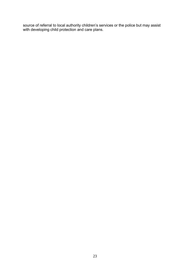source of referral to local authority children's services or the police but may assist with developing child protection and care plans.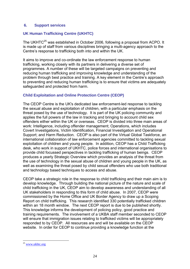#### **6. Support services**

## **UK Human Trafficking Centre (UKHTC)**

The UKHTC<sup>25</sup> was established in October 2006, following a proposal from ACPO. It is made up of staff from various disciplines bringing a multi-agency approach to the Centre"s response to trafficking both into and within the UK.

It aims to improve and co-ordinate the law enforcement response to human trafficking, working closely with its partners in delivering a diverse set of programmes. A number of these will be targeted campaigns on preventing and reducing human trafficking and improving knowledge and understanding of the problem through best practice and training. A key element in the Centre"s approach to preventing and reducing human trafficking is to ensure that victims are adequately safeguarded and protected from harm.

## **Child Exploitation and Online Protection Centre (CEOP)**

The CEOP Centre is the UK's dedicated law enforcement-led response to tackling the sexual abuse and exploitation of children, with a particular emphasis on the threat posed by the use of technology. It is part of the UK policing community and applies the full powers of the law in tracking and bringing to account child sex offenders either within the UK or overseas. CEOP is divided into three main areas of work: Intelligence, including offender management; Operations, which includes Covert Investigations, Victim Identification, Financial Investigation and Operational Support; and Harm Reduction. CEOP is also part of the Virtual Global Taskforce, an international collaboration of law enforcement agencies committed to tackling sexual exploitation of children and young people. In addition, CEOP has a Child Trafficking desk, who work in support of UKHTC, police forces and international organisations to provide child focussed perspectives in tackling trafficking of human beings. CEOP produces a yearly Strategic Overview which provides an analysis of the threat from the use of technology in the sexual abuse of children and young people in the UK, as well as examining the threat posed by child sexual offenders who use both traditional and technology based techniques to access and abuse.

CEOP take a strategic role in the response to child trafficking and their main aim is to develop knowledge. Through building the national picture of the nature and scale of child trafficking in the UK, CEOP aim to develop awareness and understanding of all UK stakeholders in responding to this form of child abuse. In 2007, CEOP were commissioned by the Home Office and UK Border Agency to draw up a Scoping Report on child trafficking. This research identified 330 potentially trafficked children within an 18 month window. The next CEOP report is due to be published shortly. This knowledge informs the development of policing policy, good practice and training requirements. The involvement of a UKBA staff member seconded to CEOP will ensure that immigration issues relating to trafficked victims will be appropriately responded to by CEOP. All resources are and will be available on the CEOP website. In order for CEOP to continue providing a knowledge function at the

<u>.</u>

<sup>&</sup>lt;sup>25</sup> www.ukhtc.org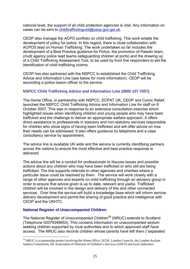national level, the support of all child protection agencies is vital. Any information on cases can be sent to [childtraffickingunit@ceop.gov.gsi.uk.](mailto:childtraffickingunit@ceop.gov.gsi.uk)

CEOP also manage the ACPO portfolio on child trafficking. This work entails the development of policy for police. In this regard, there is close collaboration with ACPOS lead on Human Trafficking. The work undertaken so far includes the development of a Best Practice guidance for Police, the promotion of Paladin team, (multi agency police lead teams safeguarding children at ports) and the drawing up of a Child Trafficking Assessment Tool, to be used by front line responders to aid the identification of child trafficking victims.

CEOP has also partnered with the NSPCC to established the Child Trafficking Advice and Information Line (see below for more information). CEOP will be seconding a police liaison officer to the service.

## **NSPCC Child Trafficking Advice and Information Line (0800 107 7057)**

The Home Office, in partnership with NSPCC, ECPAT UK, CEOP and Comic Relief, launched the NSPCC Child Trafficking Advice and Information Line for staff on 8 October 2007. This was in response to an extensive consultation exercise which highlighted issues when identifying children and young people who may have been trafficked and the challenge to deliver an appropriate welfare approach. It offers direct assistance to professionals in statutory and non-statutory services responsible for children who show signs of having been trafficked and will offer advice on how their needs can be addressed. It also offers guidance by telephone and a case consultancy service by appointment.

The advice line is available UK wide and the service is currently identifying partners across the nations to ensure the most effective and best practice response is delivered.

The advice line will be a conduit for professionals to discuss issues and possible actions about any children who may have been trafficked or who still are being trafficked. The line supports referrals to other agencies and charities where a particular issue could be resolved by them. The service will work closely with a range of other agencies and experts on child trafficking through an advisory group in order to ensure that advice given is up to date, relevant and useful. Trafficked children will be involved in the design and delivery of this and other connected services. Over time the service will build a knowledge base which will inform service delivery development and permit the sharing of good practice and intelligence with CEOP and the UKHTC.

#### **National Register of Unaccompanied Children**

1

The National Register of Unaccompanied Children<sup>26</sup> (NRUC) extends to Scotland (Telephone 02079349653). This contains information on unaccompanied asylum seeking children supported by local authorities and to which approved staff have access. The NRUC also records children whose parents have left them ("separated

<sup>&</sup>lt;sup>26</sup> NRUC is a partnership project involving the Home Office, DCSF, London Councils, the London Asylum Seekers Consortium, the Association of Directors of Children's Services (ADCS) and local authorities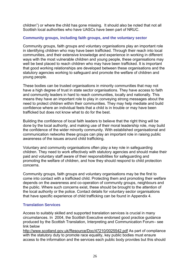children") or where the child has gone missing. It should also be noted that not all Scottish local authorities who have UASCs have been part of NRUC.

## **Community groups, including faith groups, and the voluntary sector**

Community groups, faith groups and voluntary organisations play an important role in identifying children who may have been trafficked. Through their reach into local communities, and their extensive knowledge and experience in working in different ways with the most vulnerable children and young people, these organisations may well be best placed to reach children who may have been trafficked. It is important that good working relationships are developed between these organisations and the statutory agencies working to safeguard and promote the welfare of children and young people.

These bodies can be trusted organisations in minority communities that may not have a high degree of trust in state sector organisations. They have access to faith and community leaders in hard to reach communities, locally and nationally. This means they have an important role to play in conveying strong messages about the need to protect children within their communities. They may help mediate and build confidence where an individual feels that a child is in trouble or may have been trafficked but does not know what to do for the best.

Building the confidence of local faith leaders to believe that the right thing will be done by the local authority, and making use of their moral leadership role, may build the confidence of the wider minority community. With established organisational and communication networks these groups can play an important role in raising public awareness of the issues around child trafficking.

Voluntary and community organisations often play a key role in safeguarding children. They need to work effectively with statutory agencies and should make their paid and voluntary staff aware of their responsibilities for safeguarding and promoting the welfare of children, and how they should respond to child protection concerns.

Community groups, faith groups and voluntary organisations may be the first to come into contact with a trafficked child. Protecting them and promoting their welfare depends on the awareness and co-operation of community groups, neighbours and the public. Where such concerns exist, these should be brought to the attention of the local authority or the police. Contact details for voluntary sector organisations that have specific experience of child trafficking can be found in Appendix 4.

## **Translation Services**

Access to suitably skilled and supported translation services is crucial in many circumstances. In 2004, the Scottish Executive endorsed good practice guidance produced by the Scottish Translation, Interpreting and Communication Forum– see link below

<http://www.scotland.gov.uk/Resource/Doc/47210/0025542.pdf>As part of compliance with the statutory duty to promote race equality, key public bodies must ensure access to the information and the services each public body provides but this should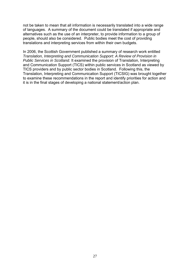not be taken to mean that all information is necessarily translated into a wide range of languages. A summary of the document could be translated if appropriate and alternatives such as the use of an interpreter, to provide information to a group of people, should also be considered. Public bodies meet the cost of providing translations and interpreting services from within their own budgets.

In 2006, the Scottish Government published a summary of research work entitled *Translation, Interpreting and Communication Support: A Review of Provision in Public Services in Scotland.* It examined the provision of Translation, Interpreting and Communication Support (TICS) within public services in Scotland as viewed by TICS providers and by public sector bodies in Scotland. Following this, the Translation, Interpreting and Communication Support (TICSIG) was brought together to examine these recommendations in the report and identify priorities for action and it is in the final stages of developing a national statement/action plan.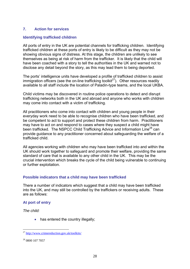## **7. Action for services**

## **Identifying trafficked children**

All ports of entry in the UK are potential channels for trafficking children. Identifying trafficked children at these ports of entry is likely to be difficult as they may not be showing obvious signs of distress. At this stage, the children are unlikely to see themselves as being at risk of harm from the trafficker. It is likely that the child will have been coached with a story to tell the authorities in the UK and warned not to disclose any detail beyond the story, as this may lead them to being deported.

The ports' intelligence units have developed a profile of trafficked children to assist immigration officers (see the on-line trafficking toolkit $27$ ). Other resources readily available to all staff include the location of Paladin-type teams, and the local UKBA.

Child victims may be discovered in routine police operations to detect and disrupt trafficking networks both in the UK and abroad and anyone who works with children may come into contact with a victim of trafficking.

All practitioners who come into contact with children and young people in their everyday work need to be able to recognise children who have been trafficked, and be competent to act to support and protect these children from harm. Practitioners may have to act on and respond to cases where they suspect a child might have been trafficked. The NSPCC Child Trafficking Advice and Information Line<sup>28</sup> can provide guidance to any practitioner concerned about safeguarding the welfare of a trafficked child.

All agencies working with children who may have been trafficked into and within the UK should work together to safeguard and promote their welfare, providing the same standard of care that is available to any other child in the UK. This may be the crucial intervention which breaks the cycle of the child being vulnerable to continuing or further exploitation.

## **Possible indicators that a child may have been trafficked**

There a number of indicators which suggest that a child may have been trafficked into the UK, and may still be controlled by the traffickers or receiving adults. These are as follows:

#### **At port of entry**

*The child:* 

• has entered the country illegally;

<sup>&</sup>lt;u>.</u> <sup>27</sup> <http://www.crimereduction.gov.uk/toolkits/>

<sup>28</sup> 0800 107 7057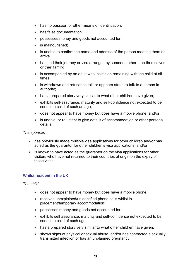- has no passport or other means of identification;
- has false documentation:
- possesses money and goods not accounted for;
- is malnourished:
- is unable to confirm the name and address of the person meeting them on arrival;
- has had their journey or visa arranged by someone other than themselves or their family;
- is accompanied by an adult who insists on remaining with the child at all times;
- is withdrawn and refuses to talk or appears afraid to talk to a person in authority;
- has a prepared story very similar to what other children have given;
- exhibits self-assurance, maturity and self-confidence not expected to be seen in a child of such an age:
- does not appear to have money but does have a mobile phone; and/or
- is unable, or reluctant to give details of accommodation or other personal details.

*The sponsor:* 

- has previously made multiple visa applications for other children and/or has acted as the guarantor for other children"s visa applications; and/or
- is known to have acted as the guarantor on the visa applications for other visitors who have not returned to their countries of origin on the expiry of those visas.

#### **Whilst resident in the UK**

*The child:* 

- does not appear to have money but does have a mobile phone;
- receives unexplained/unidentified phone calls whilst in placement/temporary accommodation;
- possesses money and goods not accounted for;
- exhibits self assurance, maturity and self-confidence not expected to be seen in a child of such age;
- has a prepared story very similar to what other children have given;
- shows signs of physical or sexual abuse, and/or has contracted a sexually transmitted infection or has an unplanned pregnancy;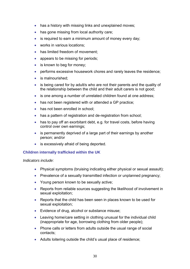- has a history with missing links and unexplained moves;
- has gone missing from local authority care;
- is required to earn a minimum amount of money every day;
- **•** works in various locations;
- has limited freedom of movement:
- appears to be missing for periods:
- is known to beg for money;
- performs excessive housework chores and rarely leaves the residence;
- is malnourished:
- is being cared for by adult/s who are not their parents and the quality of the relationship between the child and their adult carers is not good;
- is one among a number of unrelated children found at one address:
- has not been registered with or attended a GP practice;
- has not been enrolled in school:
- has a pattern of registration and de-registration from school;
- has to pay off an exorbitant debt, e.g. for travel costs, before having control over own earnings;
- is permanently deprived of a large part of their earnings by another person; and/or
- is excessively afraid of being deported.

#### **Children internally trafficked within the UK**

#### *Indicators include:*

- Physical symptoms (bruising indicating either physical or sexual assault);
- Prevalence of a sexually transmitted infection or unplanned pregnancy;
- Young person known to be sexually active;
- Reports from reliable sources suggesting the likelihood of involvement in sexual exploitation;
- Reports that the child has been seen in places known to be used for sexual exploitation;
- Evidence of drug, alcohol or substance misuse;
- Leaving home/care setting in clothing unusual for the individual child (inappropriate for age, borrowing clothing from older people);
- Phone calls or letters from adults outside the usual range of social contacts;
- Adults loitering outside the child"s usual place of residence;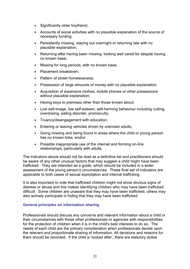- Significantly older boyfriend;
- Accounts of social activities with no plausible explanation of the source of necessary funding;
- Persistently missing, staying out overnight or returning late with no plausible explanation;
- Returning after having been missing, looking well cared for despite having no known base;
- Missing for long periods, with no known base;
- Placement breakdown;
- Pattern of street homelessness:
- Possession of large amounts of money with no plausible explanation;
- Acquisition of expensive clothes, mobile phones or other possessions without plausible explanation;
- Having keys to premises other than those known about;
- Low self-image, low self-esteem, self-harming behaviour including cutting, overdosing, eating disorder, promiscuity;
- Truancy/disengagement with education;
- **Entering or leaving vehicles driven by unknown adults;**
- Going missing and being found in areas where the child or young person has no known links; and/or
- Possible inappropriate use of the internet and forming on-line relationships, particularly with adults.

The indicators above should not be read as a definitive list and practitioners should be aware of any other unusual factors that may suggest a child might have been trafficked. They are intended as a guide, which should be included in a wider assessment of the young person"s circumstances. These final set of indicators are applicable to both cases of sexual exploitation and internal trafficking.

It is also important to note that trafficked children might not show obvious signs of distress or abuse and this makes identifying children who may have been trafficked difficult. Some children are unaware that they may have been trafficked, others may also actively participate in hiding that they may have been trafficked.

## **General principles on information sharing**

Professionals should discuss any concerns and relevant information about a child or their circumstances with those other professionals or agencies with responsibilities for the protection of children when it is in the child's best interests to do so. The needs of each child are the primary consideration when professionals decide upon the relevant and proportionate sharing of information. All decisions and reasons for them should be recorded. If the child is "looked after", there are statutory duties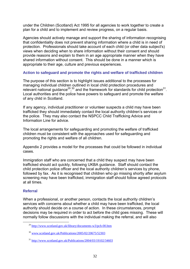under the Children (Scotland) Act 1995 for all agencies to work together to create a plan for a child and to implement and review progress, on a regular basis.

Agencies should actively manage and support the sharing of information recognising that confidentiality does not prevent sharing information where a child is in need of protection. Professionals should take account of each child (or other data subject's) views when deciding when to share information without their consent and should provide reasons and explain to them in an age appropriate manner when they have shared information without consent.This should be done in a manner which is appropriate to their age, culture and previous experiences.

#### **Action to safeguard and promote the rights and welfare of trafficked children**

The purpose of this section is to highlight issues additional to the processes for managing individual children outlined in local child protection procedures and relevant national guidance<sup>29</sup>,<sup>30</sup> and the framework for standards for child protection<sup>31</sup>. Local authorities and the police have powers to safeguard and promote the welfare of any child in Scotland.

If any agency, individual practitioner or volunteer suspects a child may have been trafficked they should immediately contact the local authority children"s services or the police. They may also contact the NSPCC Child Trafficking Advice and Information Line for advice.

The local arrangements for safeguarding and promoting the welfare of trafficked children must be consistent with the approaches used for safeguarding and promoting the rights and welfare of all children.

Appendix 2 provides a model for the processes that could be followed in individual cases.

Immigration staff who are concerned that a child they suspect may have been trafficked should act quickly, following UKBA guidance. Staff should contact the child protection police officer and the local authority children"s services by phone, followed by fax. As it is recognised that children who go missing shortly after asylum screening may have been trafficked, immigration staff should follow agreed protocols at all times.

#### **Referral**

1

When a professional, or another person, contacts the local authority children's services with concerns about whether a child may have been trafficked, the local authority should decide on a course of action. In these circumstances, prompt decisions may be required in order to act before the child goes missing. These will normally follow discussions with the individual making the referral, and will also

<sup>29</sup> <http://www.scotland.gov.uk/library/documents-w3/pch-00.htm>

<sup>30</sup> [www.scotland.gov.uk/Publications/2005/02/20675/52303](http://www.scotland.gov.uk/Publications/2005/02/20675/52303)

<sup>31</sup> <http://www.scotland.gov.uk/Publications/2004/03/19102/34603>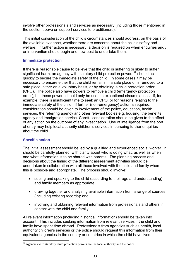involve other professionals and services as necessary (including those mentioned in the section above on support services to practitioners).

This initial consideration of the child"s circumstances should address, on the basis of the available evidence, whether there are concerns about the child"s safety and welfare. If further action is necessary, a decision is required on when enquiries and / or intervention should begin and how best to undertake them.

### **Immediate protection**

If there is reasonable cause to believe that the child is suffering or likely to suffer significant harm, an agency with statutory child protection powers<sup>32</sup> should act quickly to secure the immediate safety of the child. In some cases it may be necessary to ensure either that the child remains in a safe place or is removed to a safe place, either on a voluntary basis, or by obtaining a child protection order (CPO). The police also have powers to remove a child (emergency protection order), but these powers should only be used in exceptional circumstances. If, for example, there is insufficient time to seek an CPO, or for reasons relating to the immediate safety of the child. If further (non-emergency) action is required, consideration should be given to involvement of the police, education, health services, the referring agency and other relevant bodies e.g. housing, the benefits agency and immigration service. Careful consideration should be given to the effect of any action on the outcome of any investigation. Use of intelligence from the port of entry may help local authority children"s services in pursuing further enquiries about the child.

## **Specific action**

<u>.</u>

The initial assessment should be led by a qualified and experienced social worker. It should be carefully planned, with clarity about who is doing what, as well as when and what information is to be shared with parents. The planning process and decisions about the timing of the different assessment activities should be undertaken in collaboration with all those involved with the child and family where this is possible and appropriate. The process should involve:

- seeing and speaking to the child (according to their age and understanding) and family members as appropriate
- drawing together and analysing available information from a range of sources (including existing records): and
- involving and obtaining relevant information from professionals and others in contact with the child and family.

All relevant information (including historical information) should be taken into account. This includes seeking information from relevant services if the child and family have spent time abroad. Professionals from agencies such as health, local authority children's services or the police should request this information from their equivalent agencies in the country or countries in which the child have lived.

 $32$  Agencies with statutory child protection powers are the local authority and the police.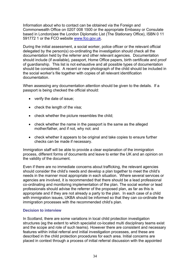Information about who to contact can be obtained via the Foreign and Commonwealth Office on 0207 008 1500 or the appropriate Embassy or Consulate based in London(see the London Diplomatic List (The Stationary Office), ISBN 0 11 591772 1 or the FCO website [www.fco.gov.uk.](http://www.fco.gov.uk/)

During the initial assessment, a social worker, police officer or the relevant official delegated by the person(s) co-ordinating the investigation should check all the documentation held by the referrer and other relevant agencies. Documentation should include (if available), passport, Home Office papers, birth certificate and proof of guardianship. This list is not exhaustive and all possible types of documentation should be considered. A recent or new photograph of the child should be included in the social worker"s file together with copies of all relevant identification documentation.

When assessing any documentation attention should be given to the details. If a passport is being checked the official should:

- verify the date of issue;
- check the length of the visa;
- check whether the picture resembles the child;
- check whether the name in the passport is the same as the alleged mother/father, and if not, why not: and
- check whether it appears to be original and take copies to ensure further checks can be made if necessary.

Immigration staff will be able to provide a clear explanation of the immigration process, different forms of documents and leave to enter the UK and an opinion on the validity of the document.

Even if there are no immediate concerns about trafficking, the relevant agencies should consider the child"s needs and develop a plan together to meet the child"s needs in the manner most appropriate in each situation. Where several services or agencies are involved, it is recommended that there should be a lead professional co-ordinating and monitoring implementation of the plan. The social worker or lead professionals should advise the referrer of the proposed plan, as far as this is appropriate and if they are not already a party to the plan. In each case of a child with immigration issues, UKBA should be informed so that they can co-ordinate the immigration processes with the recommended child's plan.

#### **Decision to interview**

In Scotland, there are some variations in local child protection investigation structures (eg the extent to which specialist co-located multi disciplinary teams exist and the scope and role of such teams). However there are consistent and necessary features within initial referral and initial investigation processes, and these are described in the child protection procedures for each area. Initial concerns are placed in context through a process of initial referral discussion with the appointed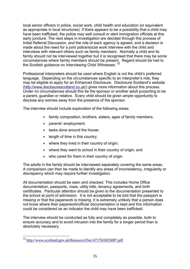local senior officers in police, social work, child health and education (or equivalent as appropriate in local structures). If there appears to be a possibility that a child may have been trafficked, the police may well consult or alert immigration officials at this early juncture. The next steps in investigation are decided through this process of Initial Referral Discussion, and the role of each agency is agreed, and a decision is made about the need for a joint police/social work interview with the child and interviews with relevant others such as family members.Normally a child and its family should not be interviewed together but it is recognised that there may be some circumstances where family members should be present. Regard should be had to the Scottish guidance on Interviewing Child Witnesses. 33

Professional interpreters should be used where English is not the child"s preferred language. Depending on the circumstances specific to an interpreter"s role, they may be eligible to apply for an Enhanced Disclosure. Disclosure Scotland"s website [\(http://www.disclosurescotland.co.uk/\)](http://www.disclosurescotland.co.uk/) gives more information about this process. Under no circumstances should this be the sponsor or another adult purporting to be a parent, guardian or relative. Every child should be given ample opportunity to disclose any worries away from the presence of the sponsor.

The interview should include exploration of the following areas:

- family composition, brothers, sisters, ages of family members;
- parents' employment;
- tasks done around the house;
- length of time in this country;
- where they lived in their country of origin;
- where they went to school in their country of origin; and
- who cared for them in their country of origin.

The adults in the family should be interviewed separately covering the same areas. A comparison can then be made to identify any areas of inconsistency, irregularity or discrepancy which may require further investigation.

All documentation should be seen and checked. This includes Home Office documentation, passports, visas, utility bills, tenancy agreements, and birth certificates. Particular attention should be given to the documentation presented to the school at point of admission. It is not acceptable to be told that the passport is missing or that the paperwork is missing. It is extremely unlikely that a person does not know where their paperwork/official documentation is kept and this information could be considered as an indicator the child may have been trafficked.

The interview should be conducted as fully and completely as possible, both to ensure accuracy and to avoid intrusion into the family for a longer period than is absolutely necessary.

1

<sup>&</sup>lt;sup>33</sup> <http://www.scotland.gov.uk/Resource/Doc/47176/0025087.pdf>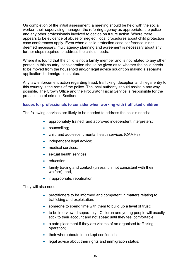On completion of the initial assessment, a meeting should be held with the social worker, their supervising manager, the referring agency as appropriate, the police and any other professionals involved to decide on future action. Where there appears to be evidence of abuse or neglect, local procedures about child protection case conferences apply. Even when a child protection case conference is not deemed necessary, multi agency planning and agreement is necessary about any further steps required to address the child's needs.

Where it is found that the child is not a family member and is not related to any other person in this country, consideration should be given as to whether the child needs to be moved from the household and/or legal advice sought on making a separate application for immigration status.

Any law enforcement action regarding fraud, trafficking, deception and illegal entry to this country is the remit of the police. The local authority should assist in any way possible. The Crown Office and the Procurator Fiscal Service is responsible for the prosecution of crime in Scotland.

#### **Issues for professionals to consider when working with trafficked children**

The following services are likely to be needed to address the child"s needs:

- appropriately trained and approved independent interpreters;
- counselling;
- child and adolescent mental health services (CAMHs);
- independent legal advice;
- medical services;
- sexual health services:
- education:
- family tracing and contact (unless it is not consistent with their welfare); and,
- if appropriate, repatriation.

They will also need:

- practitioners to be informed and competent in matters relating to trafficking and exploitation;
- someone to spend time with them to build up a level of trust;
- to be interviewed separately. Children and young people will usually stick to their account and not speak until they feel comfortable;
- a safe placement if they are victims of an organised trafficking operation;
- their whereabouts to be kept confidential;
- legal advice about their rights and immigration status;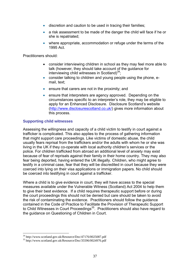- discretion and caution to be used in tracing their families;
- a risk assessment to be made of the danger the child will face if he or she is repatriated;
- where appropriate, accommodation or refuge under the terms of the 1995 Act.

Practitioners should:

- consider interviewing children in school as they may feel more able to talk (however, they should take account of the guidance for interviewing child witnesses in Scotland)<sup>34</sup>;
- consider talking to children and young people using the phone, email, text;
- ensure that carers are not in the proximity; and
- **ensure that interpreters are agency approved. Depending on the** circumstances specific to an interpreter"s role, they may be eligible to apply for an Enhanced Disclosure. Disclosure Scotland"s website [\(http://www.disclosurescotland.co.uk/\)](http://www.disclosurescotland.co.uk/) gives more information about this process.

## **Supporting child witnesses**

Assessing the willingness and capacity of a child victim to testify in court against a trafficker is complicated. This also applies to the process of gathering information that might support care proceedings. Like victims of domestic abuse, the child usually fears reprisal from the traffickers and/or the adults with whom he or she was living in the UK if they co-operate with local authority children"s services or the police. For children trafficked from abroad an additional level of anxiety may exist because of fear of reprisals against their family in their home country. They may also fear being deported, having entered the UK illegally. Children, who might agree to testify in a criminal case, fear that they will be discredited in court because they were coerced into lying on their visa applications or immigration papers. No child should be coerced into testifying in court against a trafficker.

Where a child is to give evidence in court, they will have access to the special measures available under the Vulnerable Witness (Scotland) Act 2004 to help them to give their best evidence. If a child requires therapeutic support before or during the court proceedings this should not be denied but care should be taken to avoid the risk of contaminating the evidence. Practitioners should follow the guidance contained in the Code of Practice to Facilitate the Provision of Therapeutic Support to Child Witnesses in Court Proceedings<sup>35</sup>. Practitioners should also have regard to the guidance on Questioning of Children in Court.

1

<sup>34</sup> http://www.scotland.gov.uk/Resource/Doc/47176/0025087.pdf

<sup>35</sup> http://www.scotland.gov.uk/Resource/Doc/35596/0024976.pdf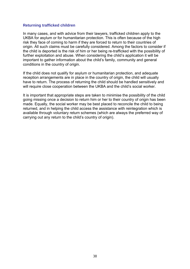#### **Returning trafficked children**

In many cases, and with advice from their lawyers, trafficked children apply to the UKBA for asylum or for humanitarian protection. This is often because of the high risk they face of coming to harm if they are forced to return to their countries of origin. All such claims must be carefully considered. Among the factors to consider if the child is deported is the risk of him or her being re-trafficked with the possibility of further exploitation and abuse. When considering the child"s application it will be important to gather information about the child"s family, community and general conditions in the country of origin.

If the child does not qualify for asylum or humanitarian protection, and adequate reception arrangements are in place in the country of origin, the child will usually have to return. The process of returning the child should be handled sensitively and will require close cooperation between the UKBA and the child's social worker.

It is important that appropriate steps are taken to minimise the possibility of the child going missing once a decision to return him or her to their country of origin has been made. Equally, the social worker may be best placed to reconcile the child to being returned, and in helping the child access the assistance with reintegration which is available through voluntary return schemes (which are always the preferred way of carrying out any return to the child"s country of origin).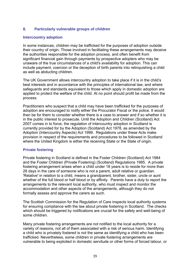## **8. Particularly vulnerable groups of children**

#### **Intercountry adoption**

In some instances, children may be trafficked for the purposes of adoption outside their country of origin. Those involved in facilitating these arrangements may deceive the authorities responsible for the adoption process, and often benefit from significant financial gain through payments by prospective adopters who may be unaware of the true circumstances of a child's availability for adoption. This can include payment, coercion or the deception of birth parents into relinquishing a child as well as abducting children.

The UK Government allows intercountry adoption to take place if it is in the child"s best interests and in accordance with the principles of international law, and where safeguards and standards equivalent to those which apply in domestic adoption are applied to protect the welfare of the child. At no point should profit be made from the process.

Practitioners who suspect that a child may have been trafficked for the purposes of adoption are encouraged to notify either the Procurator Fiscal or the police. It would then be for them to consider whether there is a case to answer and if so whether it is in the public interest to prosecute. Until the Adoption and Children (Scotland) Act 2007 comes in to force, the regulation of intercountry adoption in Scotland is currently provided for by the Adoption (Scotland) Act 1978, as amended by the Adoption (Intercountry Aspects) Act 1999. Regulations under these Acts make provision in respect of the requirements and procedures to be followed in Scotland where the United Kingdom is either the receiving State or the State of origin.

## **Private fostering**

Private fostering in Scotland is defined in the Foster Children (Scotland) Act 1984 and the Foster Children (Private Fostering) (Scotland) Regulations 1985. A private fostering arrangement arises when a child under 18 years is to reside for more than 28 days in the care of someone who is not a parent, adult relative or guardian. 'Relative' in relation to a child, means a grandparent, brother, sister, uncle or aunt whether of the full blood or half blood or by affinity. Parents have a duty to report the arrangements to the relevant local authority, who must inspect and monitor the accommodation and other aspects of the arrangements, although they do not formally assess and approve the carers as such.

The Scottish Commission for the Regulation of Care inspects local authority systems for ensuring compliance with the law about private fostering in Scotland. The checks which should be triggered by notifications are crucial for the safety and well-being of some children.

Many private fostering arrangements are not notified to the local authority for a variety of reasons, not all of them associated with a risk of serious harm. Identifying a child who is privately fostered is not the same as identifying a child who has been trafficked. Nevertheless, some children in private fostering arrangements are vulnerable to being exploited in domestic servitude or other forms of forced labour, or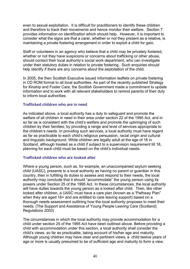even to sexual exploitation. It is difficult for practitioners to identify these children and therefore to track their movements and hence monitor their welfare. Section 7 provides information on identification which should help. However, it is important to consider what the signs are that a carer, whether or not they present as a relative, is maintaining a private fostering arrangement in order to exploit a child for gain.

Staff or volunteers in an agency who believe that a child may be privately fostered, whether or not they have suspicions or concerns about trafficking or other abuse, should contact their local authority's social work department, who can investigate under their statutory duties in relation to private fostering. Such enquiries should help identify if there are any concerns about the exploitation of the child.

In 2005, the then Scottish Executive issued information leaflets on private fostering in CD ROM format to all local authorities. As part of the recently published Strategy for Kinship and Foster Care, the Scottish Government made a commitment to update information and to work with all relevant stakeholders to remind parents of their duty to inform local authorities.

#### **Trafficked children who are in need**

As indicated above, a local authority has a duty to safeguard and promote the welfare of all children in need in their area under section 22 of the 1995 Act, and in so far as is consistent with the child"s welfare and promote the upbringing of such children by their families, by providing a range and level of services appropriate to the children"s needs. In providing such services, a local authority must have regard as far as practicable to each child"s religious persuasion, racial origin and cultural and linguistic background. While children are legally adult at the age of 16 in Scotland, although treated as a child if subject to a supervision requirement till 18, planning for each child must be based on the child"s individual needs.

#### **Trafficked children who are looked after**

Where a young person, such as, for example, an unaccompanied asylum seeking child (UASC), presents to a local authority as having no parent or guardian in this country, then in fulfilling its duties to assess and respond to their needs, the local authority may conclude that it should "accommodate" the young person using its powers under Section 25 of the 1995 Act. In these circumstances, the local authority will have duties towards the young person as a looked after child. Then, like other looked after children, a UASC must have a care plan (known as a "Pathway Plan" when they are aged 16+ and are entitled to care leaving support) based on a thorough needs assessment outlining how the local authority proposes to meet their needs. (The Support and Assistance of Young People Leaving Care (Scotland) Regulations 2003)

The circumstances in which the local authority may provide accommodation for a child under section 25 of the 1995 Act have been outlined above. Before providing a child with accommodation under this section, a local authority shall consider the child"s views, so far as practicable, taking account of his/her age and maturity. Although young children may have clear and pertinent views, a child twelve years of age or more is usually presumed to be of sufficient age and maturity to form a view.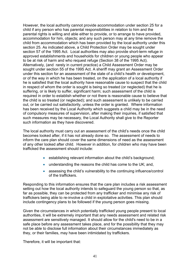However, the local authority cannot provide accommodation under section 25 for a child if any person who has parental responsibilities in relation to him and the parental rights is willing and able either to provide, or to arrange to have provided, accommodation for him, objects; and any such person may at any time remove the child from accommodation which has been provided by the local authority under this section 25. As indicated above, a Child Protection Order may be sought under section 57 of the 1995 Act. Local authorities may also provide short-term refuge in approved establishments and households for children or young people who appear to be at risk of harm and who request refuge (Section 38 of the 1995 Act). Alternatively, (and rarely in current practice) a Child Assessment Order may be sought under section 55 of the 1995 Act. A sheriff may grant an Assessment Order under this section for an assessment of the state of a child"s health or development, or of the way in which he has been treated, on the application of a local authority if he is satisfied that the local authority have reasonable cause to suspect that the child in respect of whom the order is sought is being so treated (or neglected) that he is suffering, or is likely to suffer, significant harm; such assessment of the child is required in order to establish whether or not there is reasonable cause to believe that the child is so treated (or neglected); and such assessment is unlikely to be carried out, or be carried out satisfactorily, unless the order is granted. Where information has been received by the Local Authority which suggests a child may be in the need of compulsory measures of supervision, after making their inquiries, if satisfied that such measures may be necessary, the Local Authority shall give to the Reporter such information as they have discovered.

The local authority must carry out an assessment of the child"s needs once the child becomes looked after, if it has not already done so. The assessment of needs to inform the care plan should cover the same dimensions of need as the assessment of any other looked after child. However in addition, for children who may have been trafficked the assessment should include:

- establishing relevant information about the child"s background;
- understanding the reasons the child has come to the UK; and,
- assessing the child's vulnerability to the continuing influence/control of the traffickers.

Responding to this information ensures that the care plan includes a risk assessment setting out how the local authority intends to safeguard the young person so that, as far as possible, they can be protected from any trafficker and minimise any risk of traffickers being able to re-involve a child in exploitative activities. This plan should include contingency plans to be followed if the young person goes missing.

Given the circumstances in which potentially trafficked young people present to local authorities, it will be extremely important that any needs assessment and related risk assessment are sensitively managed. It should allow for the child's need to be in a safe place before any assessment takes place, and for the possibility that they may not be able to disclose full information about their circumstances immediately as they, or their families, may have been intimidated by traffickers.

Therefore, it will be important that: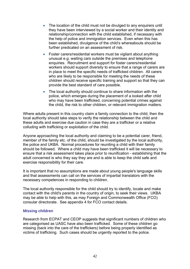- The location of the child must not be divulged to any enquirers until they have been interviewed by a social worker and their identity and relationship/connection with the child established, if necessary with the help of police and immigration services. Even when this has been established, divulgence of the child"s whereabouts should be further predicated on an assessment of risk.
- Foster carers/residential workers must be vigilant about anything unusual e.g. waiting cars outside the premises and telephone enquiries. Recruitment and support for foster carers/residential workers should support diversity to ensure that a range of carers are in place to meet the specific needs of trafficked children. All carers who are likely to be responsible for meeting the needs of these children should receive specific training and support so that they can provide the best standard of care possible.
- The local authority should continue to share information with the police, which emerges during the placement of a looked after child who may have been trafficked, concerning potential crimes against the child, the risk to other children, or relevant immigration matters.

Where adults present in this country claim a family connection to the child, then the local authority should take steps to verify the relationship between the child and these adults and exercise due caution in case they are a trafficker or a relative colluding with trafficking or exploitation of the child.

Anyone approaching the local authority and claiming to be a potential carer, friend, member of the family etc. of the child, should be investigated by the local authority, the police and UKBA. Normal procedures for reuniting a child with their family should be followed. Where a child may have been trafficked it will be necessary to ensure that a risk assessment takes place prior to reunification - establishing that the adult concerned is who they say they are and is able to keep the child safe and exercise responsibility for their care.

It is important that no assumptions are made about young people's language skills and that assessments can call on the services of impartial translators with the necessary competences in responding to children.

The local authority responsible for the child should try to identify, locate and make contact with the child's parents in the country of origin, to seek their views. UKBA may be able to help with this, as may Foreign and Commonwealth Office (FCO) consular directorate. See appendix 4 for FCO contact details.

#### **Missing children**

Research from ECPAT and CEOP suggests that significant numbers of children who are categorised as UASC have also been trafficked. Some of these children go missing (back into the care of the traffickers) before being properly identified as victims of trafficking. Such cases should be urgently reported to the police.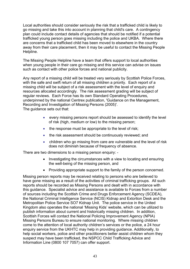Local authorities should consider seriously the risk that a trafficked child is likely to go missing and take this into account in planning that child's care. A contingency plan could include contact details of agencies that should be notified if a potential trafficked young person goes missing including the police and UKBA. Where there are concerns that a trafficked child has been moved to elsewhere in the country away from their care placement, then it may be useful to contact the Missing People Helpline.

The Missing People Helpline have a team that offers support to local authorities when young people in their care go missing and this service can advise on issues such as contact with other police forces and national publicity.

Any report of a missing child will be treated very seriously by Scottish Police Forces, with the safe and swift return of all missing children a priority. Each report of a missing child will be subject of a risk assessment with the level of enquiry and resources allocated accordingly. The risk assessment grading will be subject of regular reviews. Each Force has its own Standard Operating Procedures, underpinned by the national Centrex publication, 'Guidance on the Management, Recording and Investigation of Missing Persons (2005)'. The guidance sets out that:

- every missing persons report should be assessed to identify the level of risk (high, medium or low) to the missing person;
- the response must be appropriate to the level of risk;
- the risk assessment should be continuously reviewed; and
- children who go missing from care are vulnerable and the level of risk does not diminish because of frequency of absence.

There are two dimensions to a missing person enquiry: -

- Investigating the circumstances with a view to locating and ensuring the well-being of the missing person, and
- Providing appropriate support to the family of the person concerned.

Missing person reports may be received relating to persons who are believed to have gone missing as a result of the activities of criminal trafficking groups. All such reports should be recorded as Missing Persons and dealt with in accordance with this guidance. Specialist advice and assistance is available to Forces from a number of sources including the Scottish Crime and Drugs Enforcement Agency (SCDEA), the National Criminal Intelligence Service (NCIS) Kidnap and Extortion Desk and the Metropolitan Police Service SO7 Kidnap Unit. The police service in the United Kingdom also operates the national "Missing Kids" website, which can be utilized to publish information about current and historically missing children. In addition, Scottish Forces will contact the National Policing Improvement Agency (NPIA) Missing Persons Bureau to ensure national monitoring. Where missing children come to the attention of local authority children"s services or the police, a 24 hour enquiry service from the UKHTC may help in providing guidance. Additionally, to help social workers, police and other practitioners better assist children whom they suspect may have been trafficked, the NSPCC Child Trafficking Advice and Information Line (0800 107 7057) can offer support.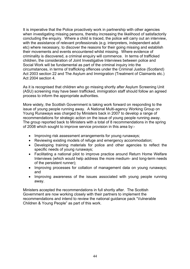It is imperative that the Police proactively work in partnership with other agencies when investigating missing persons, thereby increasing the likelihood of satisfactorily concluding the enquiry. Where a child is traced, the police will carry out an interview, with the assistance of relevant professionals (e.g. interpreters, independent adult etc) where necessary, to discover the reasons for their going missing and establish their movements and events encountered whilst missing. Where evidence of criminality is discovered, a criminal enquiry will commence. In terms of trafficked children, the consideration of Joint Investigative Interviews between police and Social Work will be fundamental as part of the criminal inquiry into the circumstances, in terms of trafficking offences under the Criminal Justice (Scotland) Act 2003 section 22 and The Asylum and Immigration (Treatment of Claimants etc.) Act 2004 section 4.

As it is recognised that children who go missing shortly after Asylum Screening Unit (ASU) screening may have been trafficked, immigration staff should follow an agreed process to inform the appropriate authorities.

More widely, the Scottish Government is taking work forward on responding to the issue of young people running away. A National Multi-agency Working Group on Young Runaways was charged by Ministers back in 2007 to develop a range of recommendations for strategic action on the issue of young people running away. The group reported back to Ministers with a total of 8 recommendations in the spring of 2008 which sought to improve service provision in this area by:-

- Improving risk assessment arrangements for young runaways;
- Reviewing existing models of refuge and emergency accommodation;
- Developing training materials for police and other agencies to reflect the specific needs of young runaways;
- Facilitating a national pilot to improve practice around Return Home Welfare Interviews (which would help address the more medium- and long-term needs of the persistent runner);
- Improving processes for collation of management data on young runaways: and
- Improving awareness of the issues associated with young people running away.

Ministers accepted the recommendations in full shortly after. The Scottish Government are now working closely with their partners to implement the recommendations and intend to review the national guidance pack "Vulnerable Children & Young People" as part of this work.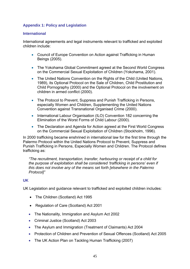## **Appendix 1: Policy and Legislation**

#### **International**

International agreements and legal instruments relevant to trafficked and exploited children include:

- Council of Europe Convention on Action against Trafficking in Human Beings (2005).
- The Yokohama Global Commitment agreed at the Second World Congress on the Commercial Sexual Exploitation of Children (Yokohama, 2001).
- The United Nations Convention on the Rights of the Child (United Nations, 1989), its Optional Protocol on the Sale of Children, Child Prostitution and Child Pornography (2000) and the Optional Protocol on the involvement on children in armed conflict (2000).
- The Protocol to Prevent, Suppress and Punish Trafficking in Persons, especially Women and Children, Supplementing the United Nations Convention against Transnational Organised Crime (2000).
- International Labour Organisation (ILO) Convention 182 concerning the Elimination of the Worst Forms of Child Labour (2000).
- The Declaration and Agenda for Action agreed at the First World Congress on the Commercial Sexual Exploitation of Children (Stockholm, 1996).

In 2000 trafficking became enshrined in international law for the first time through the Palermo Protocol within the United Nations Protocol to Prevent, Suppress and Punish Trafficking in Persons, Especially Women and Children. The Protocol defines trafficking as:

*"The recruitment, transportation, transfer, harbouring or receipt of a child for the purpose of exploitation shall be considered "trafficking in persons" even if this does not involve any of the means set forth [elsewhere in the Palermo Protocol]"*

## **UK**

UK Legislation and guidance relevant to trafficked and exploited children includes:

- The Children (Scotland) Act 1995
- Regulation of Care (Scotland) Act 2001
- The Nationality, Immigration and Asylum Act 2002
- Criminal Justice (Scotland) Act 2003
- The Asylum and Immigration (Treatment of Claimants) Act 2004
- Protection of Children and Prevention of Sexual Offences (Scotland) Act 2005
- The UK Action Plan on Tackling Human Trafficking (2007)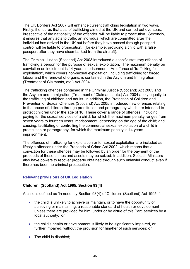The UK Borders Act 2007 will enhance current trafficking legislation in two ways. Firstly, it ensures that acts of trafficking aimed at the UK and carried out overseas, irrespective of the nationality of the offender, will be liable to prosecution. Secondly, it ensures that any acts to traffic an individual which are committed after the individual has arrived in the UK but before they have passed through passport control will be liable to prosecution. (for example, providing a child with a false passport after they have disembarked from the aircraft).

The Criminal Justice (Scotland) Act 2003 introduced a specific statutory offence of trafficking a person for the purpose of sexual exploitation. The maximum penalty on conviction on indictment is 14 years imprisonment. An offence of 'trafficking for exploitation', which covers non-sexual exploitation, including trafficking for forced labour and the removal of organs, is contained in the Asylum and Immigration (Treatment of Claimants, etc.) Act 2004.

The trafficking offences contained in the Criminal Justice (Scotland) Act 2003 and the Asylum and Immigration (Treatment of Claimants, etc.) Act 2004 apply equally to the trafficking of children and adults. In addition, the Protection of Children and Prevention of Sexual Offences (Scotland) Act 2005 introduced new offences relating to the abuse of children through prostitution and pornography which are intended to protect children under the age of 18. These cover a range of offences, including paying for the sexual services of a child, for which the maximum penalty ranges from seven years to fourteen years imprisonment, depending on the age of the child; and causing, facilitating or controlling the commercial sexual exploitation of a child in prostitution or pornography, for which the maximum penalty is 14 years imprisonment.

The offences of trafficking for exploitation or for sexual exploitation are included as lifestyle offences under the Proceeds of Crime Act 2002, which means that a conviction for these offences may be followed by an order for the payment of the proceeds of those crimes and assets may be seized. In addition, Scottish Ministers also have powers to recover property obtained through such unlawful conduct even if there has been no criminal prosecution.

## **Relevant provisions of UK Legislation**

## **Children (Scotland) Act 1995, Section 93(4)**

A child is defined as "in need" by Section 93(4) of Children (Scotland) Act 1995 if:

- the child is unlikely to achieve or maintain, or to have the opportunity of achieving or maintaining, a reasonable standard of health or development unless there are provided for him, under or by virtue of this Part, services by a local authority; or
- the child's health or development is likely to be significantly impaired, or further impaired, without the provision for him/her of such services; or
- The child is disabled: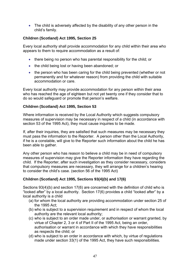• The child is adversely affected by the disability of any other person in the child"s family.

## **Children (Scotland) Act 1995, Section 25**

Every local authority shall provide accommodation for any child within their area who appears to them to require accommodation as a result of:

- there being no person who has parental responsibility for the child; or
- the child being lost or having been abandoned; or
- the person who has been caring for the child being prevented (whether or not permanently and for whatever reason) from providing the child with suitable accommodation or care.

Every local authority may provide accommodation for any person within their area who has reached the age of eighteen but not yet twenty one if they consider that to do so would safeguard or promote that person"s welfare.

## **Children (Scotland) Act 1995, Section 53**

Where information is received by the Local Authority which suggests compulsory measures of supervision may be necessary in respect of a child (in accordance with section 53 of the 1995 Act), they must cause inquiries to be made.

If, after their inquiries, they are satisfied that such measures may be necessary they must pass the information to the Reporter. A person other than the Local Authority, if he is a constable, will give to the Reporter such information about the child he has been able to gather.

Any other person who has reason to believe a child may be in need of compulsory measures of supervision may give the Reporter information they have regarding the child. If the Reporter, after such investigation as they consider necessary, considers that compulsory measures are necessary, they will arrange for a children"s hearing to consider the child"s case. (section 56 of the 1995 Act)

## **Children (Scotland) Act 1995, Sections 93(4)(b) and 17(6)**

Sections 93(4)(b) and section 17(6) are concerned with the definition of child who is "looked after" by a local authority. Section 17(6) provides a child "looked after" by a local authority is a child

- (a) for whom the local authority are providing accommodation under section 25 of the 1995 Act;
- (b) who is subject to a supervision requirement and in respect of whom the local authority are the relevant local authority;
- (c) who is subject to an order made under, or authorisation or warrant granted, by virtue of Chapter 2, 3 or 4 of Part II of the 1995 Act, being an order, authorisation or warrant in accordance with which they have responsibilities as respects the child; or
- (d) who is subject to an order in accordance with which, by virtue of regulations made under section 33(1) of the 1995 Act, they have such responsibilities.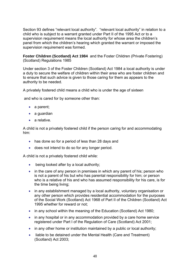Section 93 defines "relevant local authority". "relevant local authority" in relation to a child who is subject to a warrant granted under Part II of the 1995 Act or to a supervision requirement means the local authority for whose area the children"s panel from which the children"s hearing which granted the warrant or imposed the supervision requirement was formed.

**Foster Children (Scotland) Act 1984** and the Foster Children (Private Fostering) (Scotland) Regulations 1985

Under section 3 of the Foster Children (Scotland) Act 1984 a local authority is under a duty to secure the welfare of children within their area who are foster children and to ensure that such advice is given to those caring for them as appears to the authority to be needed.

A privately fostered child means a child who is under the age of sixteen

and who is cared for by someone other than:

- a parent;
- a guardian
- a relative.

A child is not a privately fostered child if the person caring for and accommodating him:

- has done so for a period of less than 28 days and
- does not intend to do so for any longer period.

A child is not a privately fostered child while:

- being looked after by a local authority;
- in the care of any person in premises in which any parent of his; person who is not a parent of his but who has parental responsibility for him; or person who is a relative of his and who has assumed responsibility for his care, is for the time being living;
- in any establishment managed by a local authority, voluntary organisation or any other person which provides residential accommodation for the purposes of the Social Work (Scotland) Act 1968 of Part II of the Children (Scotland) Act 1995 whether for reward or not;
- in any school within the meaning of the Education (Scotland) Act 1980;
- in any hospital or in any accommodation provided by a care home service registered under Part I of the Regulation of Care (Scotland) Act 2001;
- in any other home or institution maintained by a public or local authority;
- liable to be detained under the Mental Health (Care and Treatment) (Scotland) Act 2003;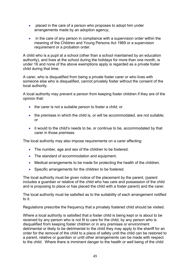- placed in the care of a person who proposes to adopt him under arrangements made by an adoption agency;
- in the care of any person in compliance with a supervision order within the meaning of the Children and Young Persons Act 1969 or a supervision requirement or a probation order.

A child who is a pupil at a school (other than a school maintained by an education authority), and lives at the school during the holidays for more than one month, is under 16 and none of the above exemptions apply is regarded as a private foster child during that time.

A carer, who is disqualified from being a private foster carer or who lives with someone else who is disqualified, cannot privately foster without the consent of the local authority.

A local authority may prevent a person from keeping foster children if they are of the opinion that:

- the carer is not a suitable person to foster a child; or
- the premises in which the child is, or will be accommodated, are not suitable; or
- it would to the child"s needs to be, or continue to be, accommodated by that carer in those premises.

The local authority may also impose requirements on a carer affecting:

- The number, age and sex of the children to be fostered.
- The standard of accommodation and equipment.
- Medical arrangements to be made for protecting the health of the children.
- Specific arrangements for the children to be fostered.

The local authority must be given notice of the placement by the parent, (parent includes a guardian or relative of the child who has care and possession of the child and is proposing to place or has placed the child with a foster parent) and the carer.

The local authority must be satisfied as to the suitability of each arrangement notified to it.

Regulations prescribe the frequency that a privately fostered child should be visited.

Where a local authority is satisfied that a foster child is being kept or is about to be received by any person who is not fit to care for the child, by any person who is disqualified from keeping foster children or in any premises or environment detrimental or likely to be detrimental to the child they may apply to the sheriff for an order for the removal of the child to a place of safety until the child can be restored to a parent, relative or guardian or until other arrangements can be made with respect to the child. Where there is imminent danger to the health or well being of the child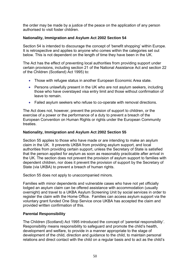the order may be made by a justice of the peace on the application of any person authorised to visit foster children.

## **Nationality, Immigration and Asylum Act 2002 Section 54**

Section 54 is intended to discourage the concept of 'benefit shopping' within Europe. It is retrospective and applies to anyone who comes within the categories set out below. This is not dependent on the length of time they have been in the UK.

The Act has the effect of preventing local authorities from providing support under certain provisions, including section 21 of the National Assistance Act and section 22 of the Children (Scotland) Act 1995) to:

- Those with refugee status in another European Economic Area state.
- Persons unlawfully present in the UK who are not asylum seekers, including those who have overstayed visa entry limit and those without confirmation of leave to remain.
- Failed asylum seekers who refuse to co-operate with removal directions.

The Act does not, however, prevent the provision of support to children, or the exercise of a power or the performance of a duty to prevent a breach of the European Convention on Human Rights or rights under the European Community treaties.

## **Nationality, Immigration and Asylum Act 2002 Section 55**

Section 55 applies to those who have made or are intending to make an asylum claim in the UK. It prevents UKBA from providing asylum support, and local authorities from providing certain support, unless the Secretary of State is satisfied that the person applied for asylum as soon as reasonably practicable after arrival in the UK. The section does not prevent the provision of asylum support to families with dependent children, nor does it prevent the provision of support by the Secretary of State (via UKBA) to prevent a breach of human rights.

Section 55 does not apply to unaccompanied minors.

Families with minor dependents and vulnerable cases who have not yet officially lodged an asylum claim can be offered assistance with accommodation (usually overnight) and travel to a UKBA Asylum Screening Unit by social services in order to register the claim with the Home Office. Families can access asylum support via the voluntary grant funded One Stop Service once UKBA has accepted the claim and provided written confirmation of this.

## **Parental Responsibility**

The Children (Scotland) Act 1995 introduced the concept of "parental responsibility". Responsibility means responsibility to safeguard and promote the child"s health, development and welfare, to provide in a manner appropriate to the stage of development of the child, direction and guidance to the child, to maintain personal relations and direct contact with the child on a regular basis and to act as the child"s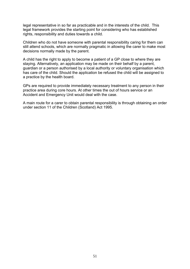legal representative in so far as practicable and in the interests of the child. This legal framework provides the starting point for considering who has established rights, responsibility and duties towards a child.

Children who do not have someone with parental responsibility caring for them can still attend schools, which are normally pragmatic in allowing the carer to make most decisions normally made by the parent.

A child has the right to apply to become a patient of a GP close to where they are staying. Alternatively, an application may be made on their behalf by a parent, guardian or a person authorised by a local authority or voluntary organisation which has care of the child. Should the application be refused the child will be assigned to a practice by the health board.

GPs are required to provide immediately necessary treatment to any person in their practice area during core hours. At other times the out of hours service or an Accident and Emergency Unit would deal with the case.

A main route for a carer to obtain parental responsibility is through obtaining an order under section 11 of the Children (Scotland) Act 1995.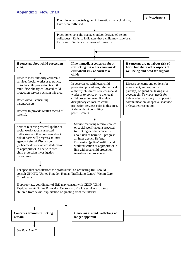#### **Appendix 2: Flow Chart**

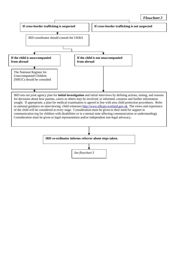

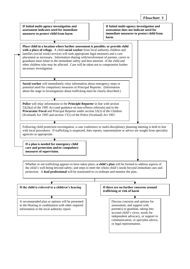**If Initial multi-agency investigation and If Initial multi-agency investigation and assessment indicates need for immediate assessment does not indicate need for immediate measures to protect child from measures to protect child from harm harm** ▼ **Place child in a location where further assessment is possible; or provide child with a place of refuge.** A child **social worker** from local authority children and families (social work) services will seek appropriate legal measures and a care placement as necessary. Information sharing with/involvement of parents, carers or guardians must relate to the immediate safety and best interests of the child and other children who may be affected. Care will be taken not to compromise further necessary investigation. **Social worker** will immediately relay information about emergency steps or potential need for compulsory measures to Principal Reporter. (Information about the stage in investigations about trafficking must be clearly described.) ₮ **Police** will relay information to the **Principle Reporter** in line with section 53(2)(a) of the 1995 Act (and guidance on non-offence referrals) and to the **Procurator Fiscal** and Principal Reporter under section 53(3) of the Children (Scotland) Act 1995 and section 17(1) of the Police (Scotland) Act 1967. Following child protection investigation, a case conference or multi-disciplinary planning meeting is held in line with local procedures. If trafficking is suspected, then reports, representation or advice are sought from specialist agencies as appropriate. ᠼ **If a plan is needed for emergency child care and protection and/or compulsory measures of supervision.** Whether or not trafficking appears to have taken place, **a child's plan** will be formed to address aspects of the child's well-being beyond safety; and steps to meet the whole child's needs beyond immediate care and protection. A **lead professional** will be nominated to co-ordinate and monitor the plan. € ↴ **If the child is referred to a children's hearing If there are no further concerns around trafficking or risk of harm** A recommended plan or options will be presented Discuss concerns and options for to the Hearing in combination with other required assessment, and support with parent(s) or guardian, taking into information in the local authority report.

> account child's views, needs for independent advocacy, or support in communication, or specialist advice,

or legal representation.

*Flowchart 3*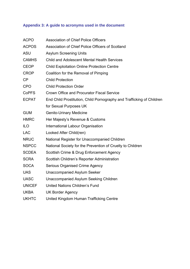# **Appendix 3: A guide to acronyms used in the document**

| <b>ACPO</b>   | <b>Association of Chief Police Officers</b>                           |
|---------------|-----------------------------------------------------------------------|
| <b>ACPOS</b>  | Association of Chief Police Officers of Scotland                      |
| <b>ASU</b>    | <b>Asylum Screening Units</b>                                         |
| <b>CAMHS</b>  | <b>Child and Adolescent Mental Health Services</b>                    |
| <b>CEOP</b>   | <b>Child Exploitation Online Protection Centre</b>                    |
| <b>CROP</b>   | Coalition for the Removal of Pimping                                  |
| CP            | <b>Child Protection</b>                                               |
| <b>CPO</b>    | <b>Child Protection Order</b>                                         |
| <b>CoPFS</b>  | <b>Crown Office and Procurator Fiscal Service</b>                     |
| <b>ECPAT</b>  | End Child Prostitution, Child Pornography and Trafficking of Children |
|               | for Sexual Purposes UK                                                |
| <b>GUM</b>    | <b>Genito-Urinary Medicine</b>                                        |
| <b>HMRC</b>   | Her Majesty's Revenue & Customs                                       |
| <b>ILO</b>    | International Labour Organisation                                     |
| <b>LAC</b>    | Looked After Child(ren)                                               |
| <b>NRUC</b>   | National Register for Unaccompanied Children                          |
| <b>NSPCC</b>  | National Society for the Prevention of Cruelty to Children            |
| <b>SCDEA</b>  | Scottish Crime & Drug Enforcement Agency                              |
| <b>SCRA</b>   | Scottish Children's Reporter Administration                           |
| <b>SOCA</b>   | <b>Serious Organised Crime Agency</b>                                 |
| <b>UAS</b>    | <b>Unaccompanied Asylum Seeker</b>                                    |
| <b>UASC</b>   | Unaccompanied Asylum Seeking Children                                 |
| <b>UNICEF</b> | United Nations Children's Fund                                        |
| <b>UKBA</b>   | <b>UK Border Agency</b>                                               |
| <b>UKHTC</b>  | United Kingdom Human Trafficking Centre                               |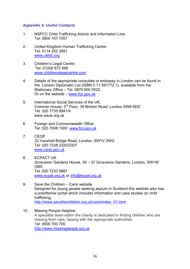### **Appendix 4: Useful Contacts**

- 1. NSPCC Child Trafficking Advice and Information Line Tel: 0800 107 7057
- 2. United Kingdom Human Trafficking Centre Tel: 0114 252 3891 [www.ukhtc.org](http://www.ukhtc.org/)
- 3. Children"s Legal Centre Tel: 01206 872 466 [www.childrenslegalcentre.com](http://www.childrenslegalcentre.com/)
- 4. Details of the appropriate consulate or embassy in London can be found in the London Diplomatic List (ISBN 0 11 591772 1), available from the Stationary Office – Tel: 0870 600 5522. Or on the website – [www.fco.gov.uk](http://www.fco.gov.uk/)
- 5. International Social Services of the UK, Cranmer House, 3rd Floor, 39 Brixton Road, London SW9 6DD Tel: 020 7735 8941/4 www.issuk.org.uk
- 6. Foreign and Commonwealth Office Tel: 020 7008 1500 [www.fco.gov.uk](http://www.fco.gov.uk/)
- 7. CEOP 33 Vauxhall Bridge Road, London, SW1V 2WG Tel: 020 7238 2320/2307 [www.ceop.gov.uk](http://www.ceop.gov.uk/)
- 8. ECPACT UK Grosvenor Gardens House, 35 – 37 Grosvenor Gardens, London, SW1W **OBS**  Tel: 020 7233 9887 [www.ecpat.org.uk](http://www.ecpat.org.uk/) or [info@ecpat.org.uk](mailto:info@ecpat.org.uk)
- 9. Save the Children Caris website Designed for young people seeking asylum in Scotland this website also has a practitioner portal which includes information and case studies on child trafficking. [http://www.savethechildren.org.uk/caris/index\\_01.html](http://www.savethechildren.org.uk/caris/index_01.html)
- 10. Missing People Helpline A specialist team within the charity is dedicated to finding children who are missing from care, liaising with the appropriate authorities. Tel: 0500 700 700 [http://www.missingpeople.org.uk](http://www.missingpeople.org.uk/)